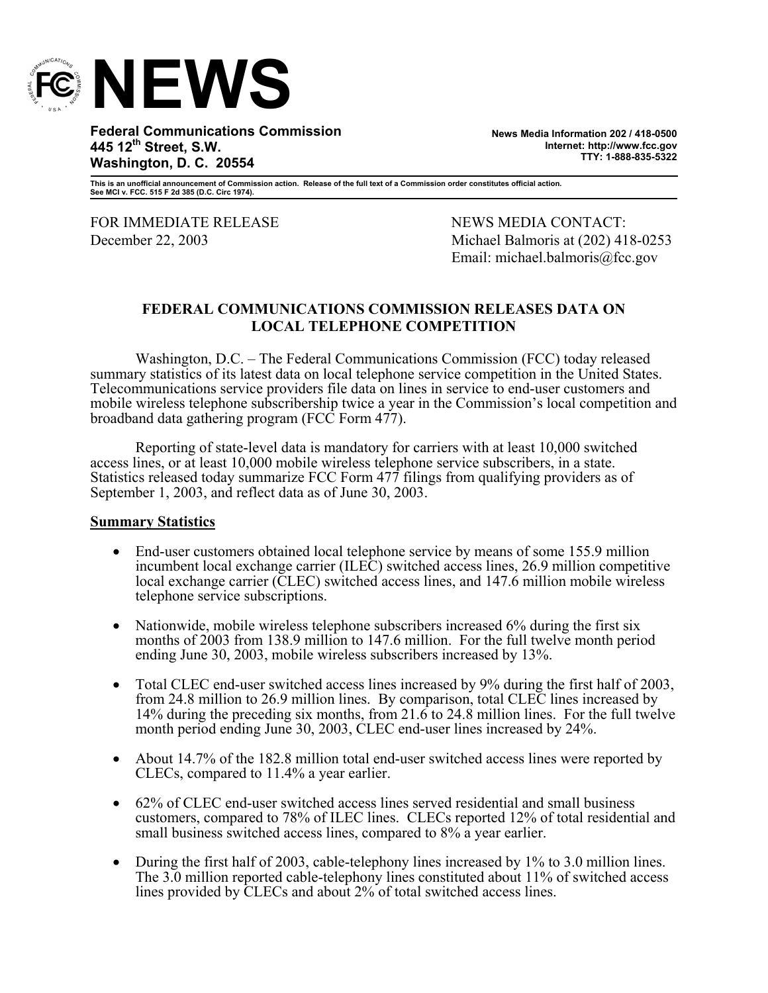

**Federal Communications Commission 445 12th Street, S.W. Washington, D. C. 20554** 

**News Media Information 202 / 418-0500 Internet: http://www.fcc.gov TTY: 1-888-835-5322**

**This is an unofficial announcement of Commission action. Release of the full text of a Commission order constitutes official action. See MCI v. FCC. 515 F 2d 385 (D.C. Circ 1974).** 

FOR IMMEDIATE RELEASE NEWS MEWS MEDIA CONTACT:

December 22, 2003 Michael Balmoris at (202) 418-0253 Email: michael.balmoris@fcc.gov

### **FEDERAL COMMUNICATIONS COMMISSION RELEASES DATA ON LOCAL TELEPHONE COMPETITION**

Washington, D.C. – The Federal Communications Commission (FCC) today released summary statistics of its latest data on local telephone service competition in the United States. Telecommunications service providers file data on lines in service to end-user customers and mobile wireless telephone subscribership twice a year in the Commission's local competition and broadband data gathering program (FCC Form 477).

Reporting of state-level data is mandatory for carriers with at least 10,000 switched access lines, or at least 10,000 mobile wireless telephone service subscribers, in a state. Statistics released today summarize FCC Form 477 filings from qualifying providers as of September 1, 2003, and reflect data as of June 30, 2003.

#### **Summary Statistics**

- End-user customers obtained local telephone service by means of some 155.9 million incumbent local exchange carrier (ILEC) switched access lines, 26.9 million competitive local exchange carrier (CLEC) switched access lines, and 147.6 million mobile wireless telephone service subscriptions.
- Nationwide, mobile wireless telephone subscribers increased 6% during the first six months of 2003 from 138.9 million to 147.6 million. For the full twelve month period ending June 30, 2003, mobile wireless subscribers increased by 13%.
- Total CLEC end-user switched access lines increased by 9% during the first half of 2003, from 24.8 million to 26.9 million lines. By comparison, total CLEC lines increased by 14% during the preceding six months, from 21.6 to 24.8 million lines. For the full twelve month period ending June 30, 2003, CLEC end-user lines increased by 24%.
- About 14.7% of the 182.8 million total end-user switched access lines were reported by CLECs, compared to 11.4% a year earlier.
- 62% of CLEC end-user switched access lines served residential and small business customers, compared to 78% of ILEC lines. CLECs reported 12% of total residential and small business switched access lines, compared to 8% a year earlier.
- During the first half of 2003, cable-telephony lines increased by 1% to 3.0 million lines. The 3.0 million reported cable-telephony lines constituted about 11% of switched access lines provided by CLECs and about 2% of total switched access lines.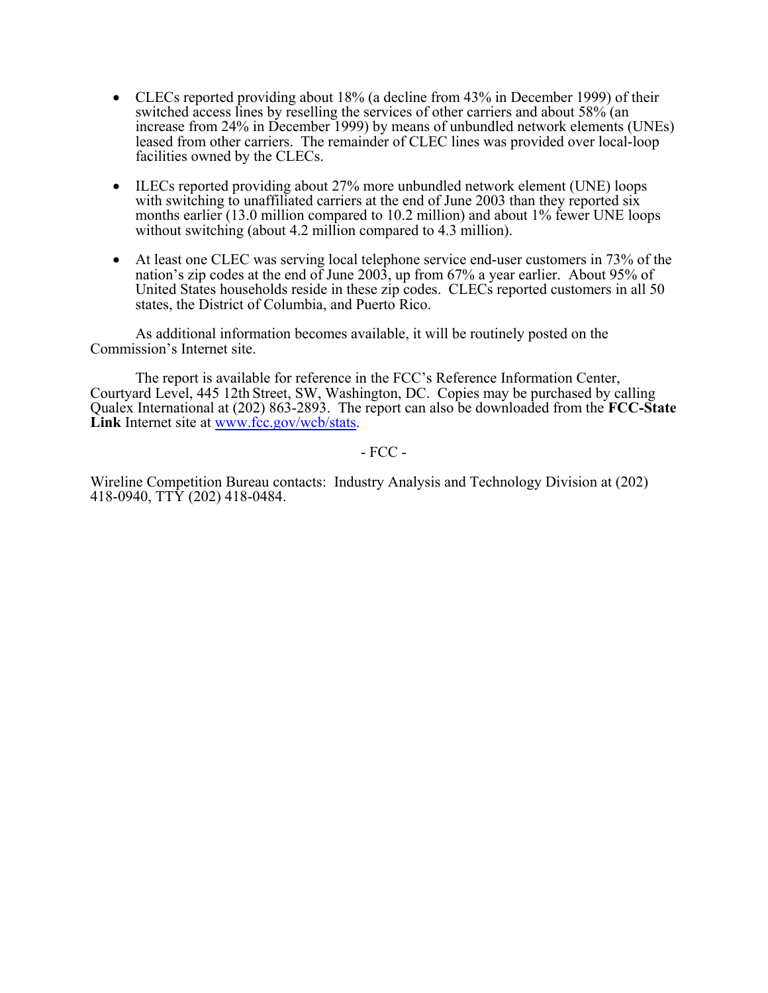- CLECs reported providing about 18% (a decline from 43% in December 1999) of their switched access lines by reselling the services of other carriers and about 58% (an increase from 24% in December 1999) by means of unbundled network elements (UNEs) leased from other carriers. The remainder of CLEC lines was provided over local-loop facilities owned by the CLECs.
- ILECs reported providing about 27% more unbundled network element (UNE) loops with switching to unaffiliated carriers at the end of June 2003 than they reported six months earlier (13.0 million compared to 10.2 million) and about 1% fewer UNE loops without switching (about 4.2 million compared to 4.3 million).
- At least one CLEC was serving local telephone service end-user customers in 73% of the nation's zip codes at the end of June 2003, up from 67% a year earlier. About 95% of United States households reside in these zip codes. CLECs reported customers in all 50 states, the District of Columbia, and Puerto Rico.

 As additional information becomes available, it will be routinely posted on the Commission's Internet site.

 The report is available for reference in the FCC's Reference Information Center, Courtyard Level, 445 12th Street, SW, Washington, DC. Copies may be purchased by calling Qualex International at (202) 863-2893. The report can also be downloaded from the **FCC-State**  Link Internet site at www.fcc.gov/wcb/stats.

- FCC -

Wireline Competition Bureau contacts: Industry Analysis and Technology Division at (202) 418-0940, TTY (202) 418-0484.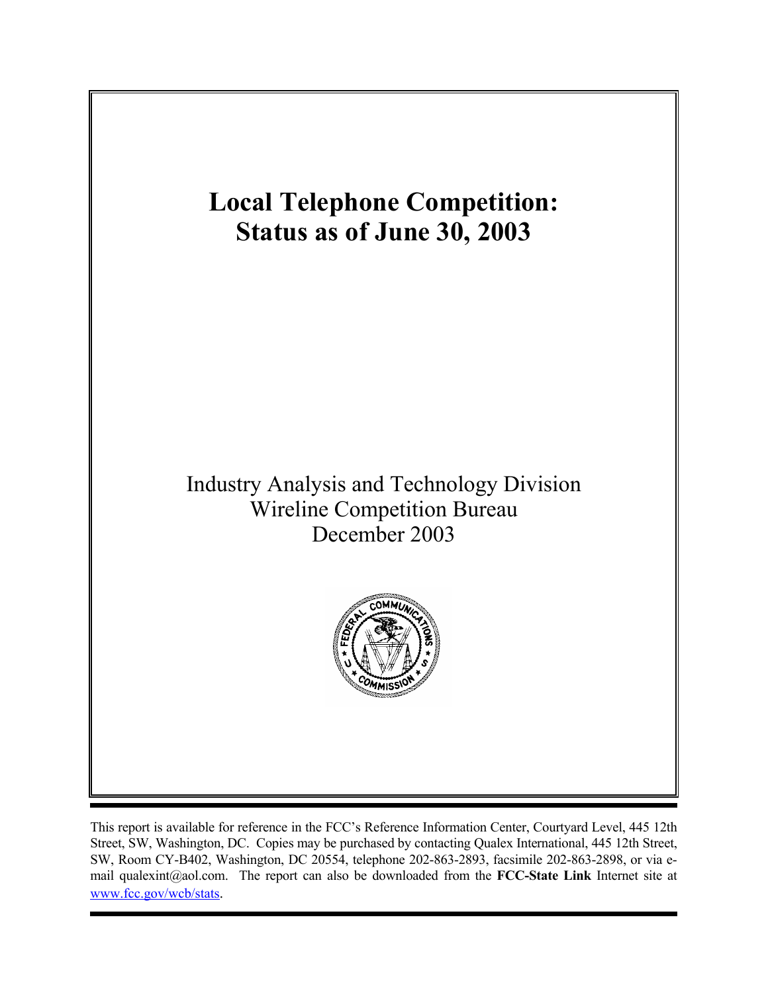

This report is available for reference in the FCC's Reference Information Center, Courtyard Level, 445 12th Street, SW, Washington, DC. Copies may be purchased by contacting Qualex International, 445 12th Street, SW, Room CY-B402, Washington, DC 20554, telephone 202-863-2893, facsimile 202-863-2898, or via email qualexint@aol.com. The report can also be downloaded from the **FCC-State Link** Internet site at www.fcc.gov/wcb/stats.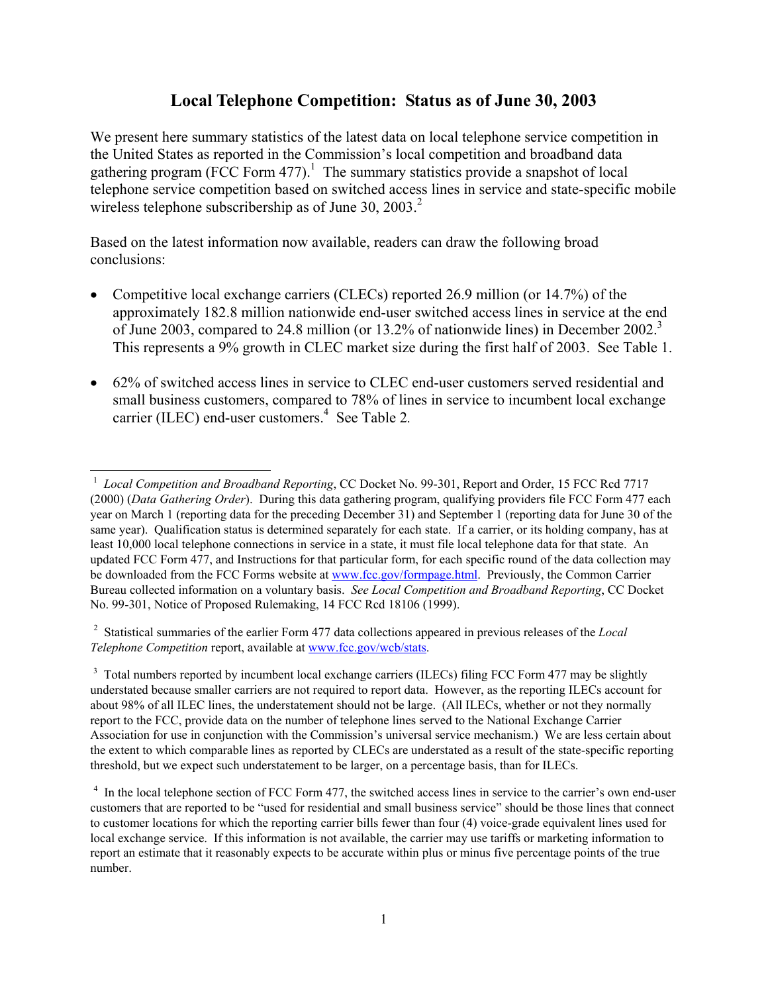# **Local Telephone Competition: Status as of June 30, 2003**

We present here summary statistics of the latest data on local telephone service competition in the United States as reported in the Commission's local competition and broadband data gathering program (FCC Form 477).<sup>1</sup> The summary statistics provide a snapshot of local telephone service competition based on switched access lines in service and state-specific mobile wireless telephone subscribership as of June 30, 2003.<sup>2</sup>

Based on the latest information now available, readers can draw the following broad conclusions:

- Competitive local exchange carriers (CLECs) reported 26.9 million (or 14.7%) of the approximately 182.8 million nationwide end-user switched access lines in service at the end of June 2003, compared to 24.8 million (or 13.2% of nationwide lines) in December 2002.<sup>3</sup> This represents a 9% growth in CLEC market size during the first half of 2003. See Table 1.
- 62% of switched access lines in service to CLEC end-user customers served residential and small business customers, compared to 78% of lines in service to incumbent local exchange carrier (ILEC) end-user customers.<sup>4</sup> See Table 2.

2 Statistical summaries of the earlier Form 477 data collections appeared in previous releases of the *Local Telephone Competition* report, available at www.fcc.gov/wcb/stats.

<sup>3</sup> Total numbers reported by incumbent local exchange carriers (ILECs) filing FCC Form 477 may be slightly understated because smaller carriers are not required to report data. However, as the reporting ILECs account for about 98% of all ILEC lines, the understatement should not be large. (All ILECs, whether or not they normally report to the FCC, provide data on the number of telephone lines served to the National Exchange Carrier Association for use in conjunction with the Commission's universal service mechanism.) We are less certain about the extent to which comparable lines as reported by CLECs are understated as a result of the state-specific reporting threshold, but we expect such understatement to be larger, on a percentage basis, than for ILECs.

 1 *Local Competition and Broadband Reporting*, CC Docket No. 99-301, Report and Order, 15 FCC Rcd 7717 (2000) (*Data Gathering Order*). During this data gathering program, qualifying providers file FCC Form 477 each year on March 1 (reporting data for the preceding December 31) and September 1 (reporting data for June 30 of the same year). Qualification status is determined separately for each state. If a carrier, or its holding company, has at least 10,000 local telephone connections in service in a state, it must file local telephone data for that state. An updated FCC Form 477, and Instructions for that particular form, for each specific round of the data collection may be downloaded from the FCC Forms website at www.fcc.gov/formpage.html. Previously, the Common Carrier Bureau collected information on a voluntary basis. *See Local Competition and Broadband Reporting*, CC Docket No. 99-301, Notice of Proposed Rulemaking, 14 FCC Rcd 18106 (1999).

<sup>&</sup>lt;sup>4</sup> In the local telephone section of FCC Form 477, the switched access lines in service to the carrier's own end-user customers that are reported to be "used for residential and small business service" should be those lines that connect to customer locations for which the reporting carrier bills fewer than four (4) voice-grade equivalent lines used for local exchange service. If this information is not available, the carrier may use tariffs or marketing information to report an estimate that it reasonably expects to be accurate within plus or minus five percentage points of the true number.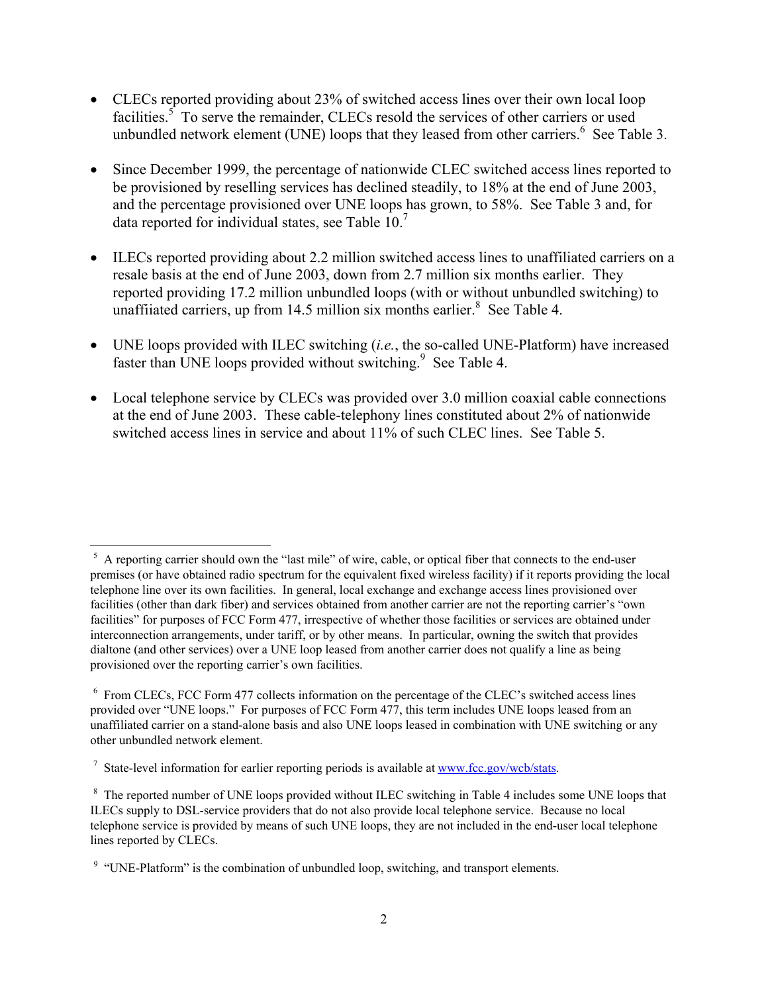- CLECs reported providing about 23% of switched access lines over their own local loop facilities.<sup>5</sup> To serve the remainder, CLECs resold the services of other carriers or used unbundled network element (UNE) loops that they leased from other carriers.  $6$  See Table 3.
- Since December 1999, the percentage of nationwide CLEC switched access lines reported to be provisioned by reselling services has declined steadily, to 18% at the end of June 2003, and the percentage provisioned over UNE loops has grown, to 58%. See Table 3 and, for data reported for individual states, see Table 10.<sup>7</sup>
- ILECs reported providing about 2.2 million switched access lines to unaffiliated carriers on a resale basis at the end of June 2003, down from 2.7 million six months earlier. They reported providing 17.2 million unbundled loops (with or without unbundled switching) to unaffiiated carriers, up from 14.5 million six months earlier. $8$  See Table 4.
- UNE loops provided with ILEC switching (*i.e.*, the so-called UNE-Platform) have increased faster than UNE loops provided without switching.<sup>9</sup> See Table 4.
- Local telephone service by CLECs was provided over 3.0 million coaxial cable connections at the end of June 2003. These cable-telephony lines constituted about 2% of nationwide switched access lines in service and about 11% of such CLEC lines. See Table 5.

 $\overline{\phantom{a}}$ 

<sup>&</sup>lt;sup>5</sup> A reporting carrier should own the "last mile" of wire, cable, or optical fiber that connects to the end-user premises (or have obtained radio spectrum for the equivalent fixed wireless facility) if it reports providing the local telephone line over its own facilities. In general, local exchange and exchange access lines provisioned over facilities (other than dark fiber) and services obtained from another carrier are not the reporting carrier's "own facilities" for purposes of FCC Form 477, irrespective of whether those facilities or services are obtained under interconnection arrangements, under tariff, or by other means. In particular, owning the switch that provides dialtone (and other services) over a UNE loop leased from another carrier does not qualify a line as being provisioned over the reporting carrier's own facilities.

<sup>&</sup>lt;sup>6</sup> From CLECs, FCC Form 477 collects information on the percentage of the CLEC's switched access lines provided over "UNE loops." For purposes of FCC Form 477, this term includes UNE loops leased from an unaffiliated carrier on a stand-alone basis and also UNE loops leased in combination with UNE switching or any other unbundled network element.

<sup>&</sup>lt;sup>7</sup> State-level information for earlier reporting periods is available at www.fcc.gov/wcb/stats.

<sup>&</sup>lt;sup>8</sup> The reported number of UNE loops provided without ILEC switching in Table 4 includes some UNE loops that ILECs supply to DSL-service providers that do not also provide local telephone service. Because no local telephone service is provided by means of such UNE loops, they are not included in the end-user local telephone lines reported by CLECs.

<sup>&</sup>lt;sup>9</sup> "UNE-Platform" is the combination of unbundled loop, switching, and transport elements.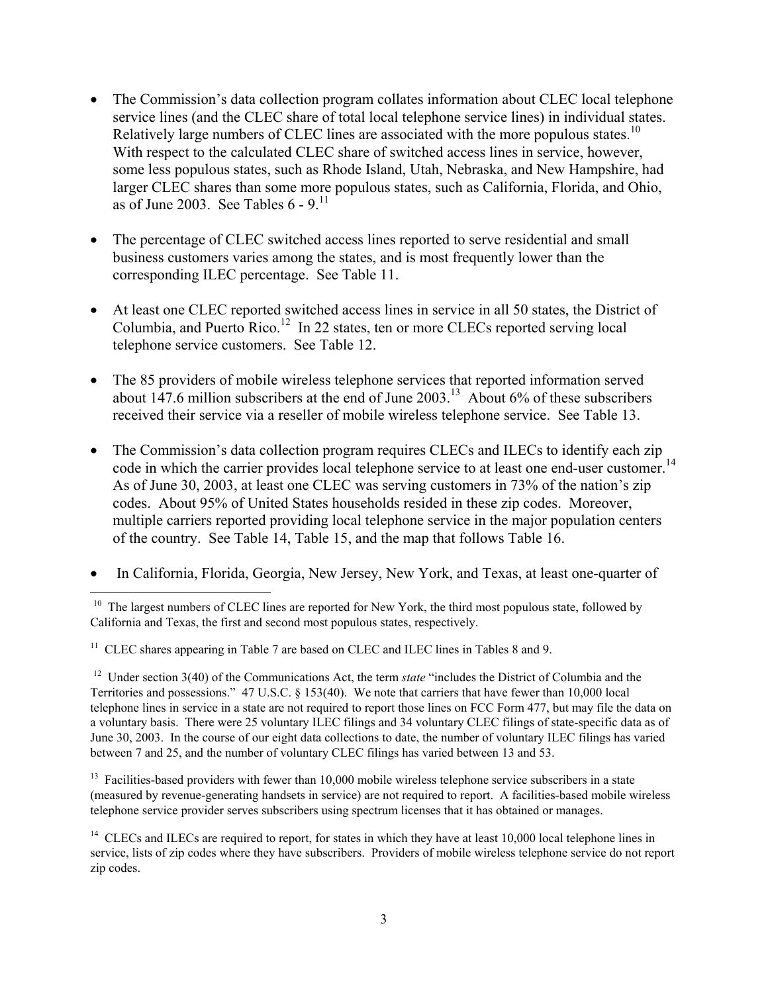- The Commission's data collection program collates information about CLEC local telephone service lines (and the CLEC share of total local telephone service lines) in individual states. Relatively large numbers of CLEC lines are associated with the more populous states.<sup>10</sup> With respect to the calculated CLEC share of switched access lines in service, however, some less populous states, such as Rhode Island, Utah, Nebraska, and New Hampshire, had larger CLEC shares than some more populous states, such as California, Florida, and Ohio, as of June 2003. See Tables  $6 - 9$ <sup>11</sup>
- The percentage of CLEC switched access lines reported to serve residential and small business customers varies among the states, and is most frequently lower than the corresponding ILEC percentage. See Table 11.
- At least one CLEC reported switched access lines in service in all 50 states, the District of Columbia, and Puerto Rico.<sup>12</sup> In 22 states, ten or more CLECs reported serving local telephone service customers. See Table 12.
- The 85 providers of mobile wireless telephone services that reported information served about 147.6 million subscribers at the end of June  $2003$ .<sup>13</sup> About 6% of these subscribers received their service via a reseller of mobile wireless telephone service. See Table 13.
- The Commission's data collection program requires CLECs and ILECs to identify each zip code in which the carrier provides local telephone service to at least one end-user customer.<sup>14</sup> As of June 30, 2003, at least one CLEC was serving customers in 73% of the nation's zip codes. About 95% of United States households resided in these zip codes. Moreover, multiple carriers reported providing local telephone service in the major population centers of the country. See Table 14, Table 15, and the map that follows Table 16.
- In California, Florida, Georgia, New Jersey, New York, and Texas, at least one-quarter of

l

<sup>12</sup> Under section 3(40) of the Communications Act, the term *state* "includes the District of Columbia and the Territories and possessions." 47 U.S.C. § 153(40). We note that carriers that have fewer than 10,000 local telephone lines in service in a state are not required to report those lines on FCC Form 477, but may file the data on a voluntary basis. There were 25 voluntary ILEC filings and 34 voluntary CLEC filings of state-specific data as of June 30, 2003. In the course of our eight data collections to date, the number of voluntary ILEC filings has varied between 7 and 25, and the number of voluntary CLEC filings has varied between 13 and 53.

<sup>13</sup> Facilities-based providers with fewer than 10,000 mobile wireless telephone service subscribers in a state (measured by revenue-generating handsets in service) are not required to report. A facilities-based mobile wireless telephone service provider serves subscribers using spectrum licenses that it has obtained or manages.

<sup>&</sup>lt;sup>10</sup> The largest numbers of CLEC lines are reported for New York, the third most populous state, followed by California and Texas, the first and second most populous states, respectively.

 $11$  CLEC shares appearing in Table 7 are based on CLEC and ILEC lines in Tables 8 and 9.

 $14$  CLECs and ILECs are required to report, for states in which they have at least 10,000 local telephone lines in service, lists of zip codes where they have subscribers. Providers of mobile wireless telephone service do not report zip codes.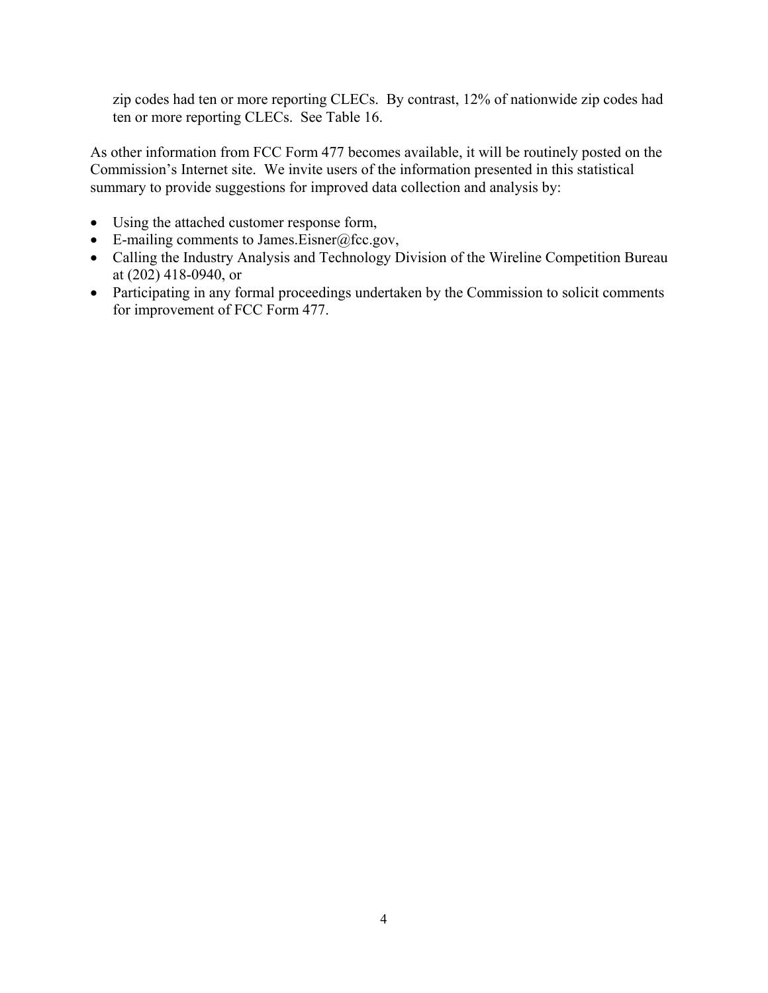zip codes had ten or more reporting CLECs. By contrast, 12% of nationwide zip codes had ten or more reporting CLECs. See Table 16.

As other information from FCC Form 477 becomes available, it will be routinely posted on the Commission's Internet site. We invite users of the information presented in this statistical summary to provide suggestions for improved data collection and analysis by:

- Using the attached customer response form,
- E-mailing comments to James.Eisner@fcc.gov,
- Calling the Industry Analysis and Technology Division of the Wireline Competition Bureau at (202) 418-0940, or
- Participating in any formal proceedings undertaken by the Commission to solicit comments for improvement of FCC Form 477.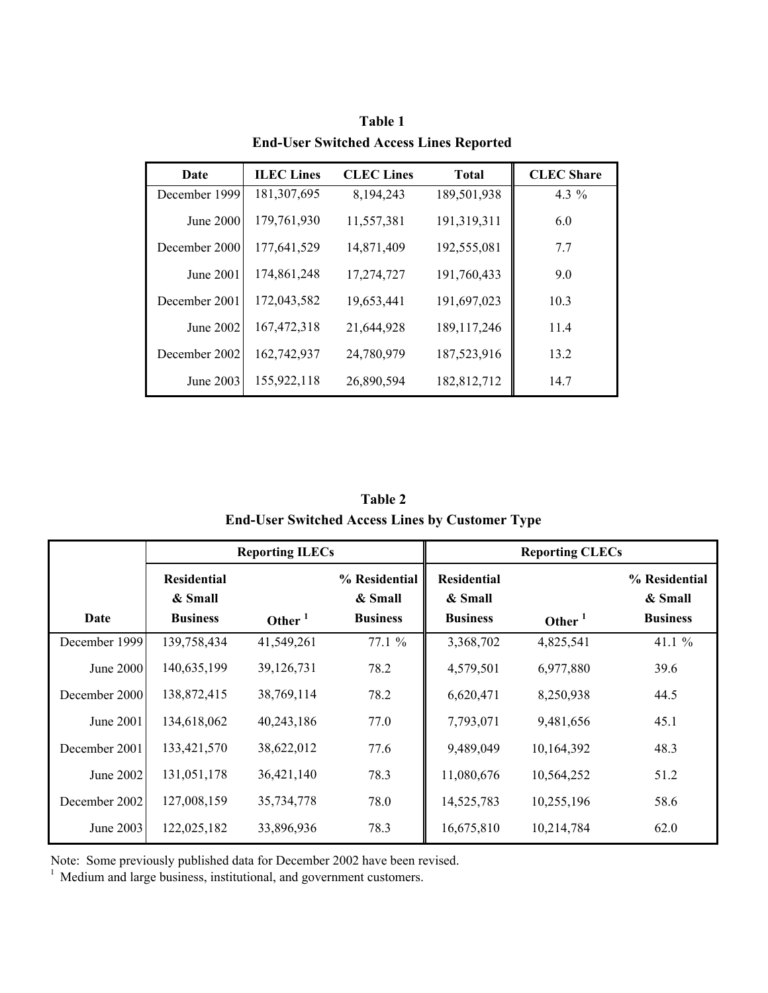| Date          | <b>ILEC</b> Lines | <b>CLEC</b> Lines | <b>Total</b>  | <b>CLEC</b> Share |
|---------------|-------------------|-------------------|---------------|-------------------|
| December 1999 | 181,307,695       | 8,194,243         | 189,501,938   | 4.3 $%$           |
| June 2000     | 179,761,930       | 11,557,381        | 191,319,311   | 6.0               |
| December 2000 | 177,641,529       | 14,871,409        | 192,555,081   | 7.7               |
| June 2001     | 174,861,248       | 17,274,727        | 191,760,433   | 9.0               |
| December 2001 | 172,043,582       | 19,653,441        | 191,697,023   | 10.3              |
| June 2002     | 167,472,318       | 21,644,928        | 189, 117, 246 | 11.4              |
| December 2002 | 162,742,937       | 24,780,979        | 187,523,916   | 13.2              |
| June 2003     | 155,922,118       | 26,890,594        | 182,812,712   | 14.7              |

**Table 1 End-User Switched Access Lines Reported**

**Table 2 End-User Switched Access Lines by Customer Type**

|                  |                                                  | <b>Reporting ILECs</b> |                                             | <b>Reporting CLECs</b>                           |            |                                             |  |  |
|------------------|--------------------------------------------------|------------------------|---------------------------------------------|--------------------------------------------------|------------|---------------------------------------------|--|--|
| Date             | <b>Residential</b><br>& Small<br><b>Business</b> | Other $1$              | % Residential<br>& Small<br><b>Business</b> | <b>Residential</b><br>& Small<br><b>Business</b> | Other $1$  | % Residential<br>& Small<br><b>Business</b> |  |  |
| December 1999    | 139,758,434                                      | 41,549,261             | 77.1 %                                      | 3,368,702                                        | 4,825,541  | 41.1 $%$                                    |  |  |
| <b>June 2000</b> | 140,635,199                                      | 39,126,731             | 78.2                                        | 4,579,501                                        | 6,977,880  | 39.6                                        |  |  |
| December 2000    | 138,872,415                                      | 38,769,114             | 78.2                                        | 6,620,471                                        | 8,250,938  | 44.5                                        |  |  |
| June 2001        | 134,618,062                                      | 40,243,186             | 77.0                                        | 7,793,071                                        | 9,481,656  | 45.1                                        |  |  |
| December 2001    | 133,421,570                                      | 38,622,012             | 77.6                                        | 9,489,049                                        | 10,164,392 | 48.3                                        |  |  |
| June 2002        | 131,051,178                                      | 36,421,140             | 78.3                                        | 11,080,676                                       | 10,564,252 | 51.2                                        |  |  |
| December 2002    | 127,008,159                                      | 35,734,778             | 78.0                                        | 14,525,783                                       | 10,255,196 | 58.6                                        |  |  |
| June 2003        | 122,025,182                                      | 33,896,936             | 78.3                                        | 16,675,810                                       | 10,214,784 | 62.0                                        |  |  |

Note: Some previously published data for December 2002 have been revised.

 $1$  Medium and large business, institutional, and government customers.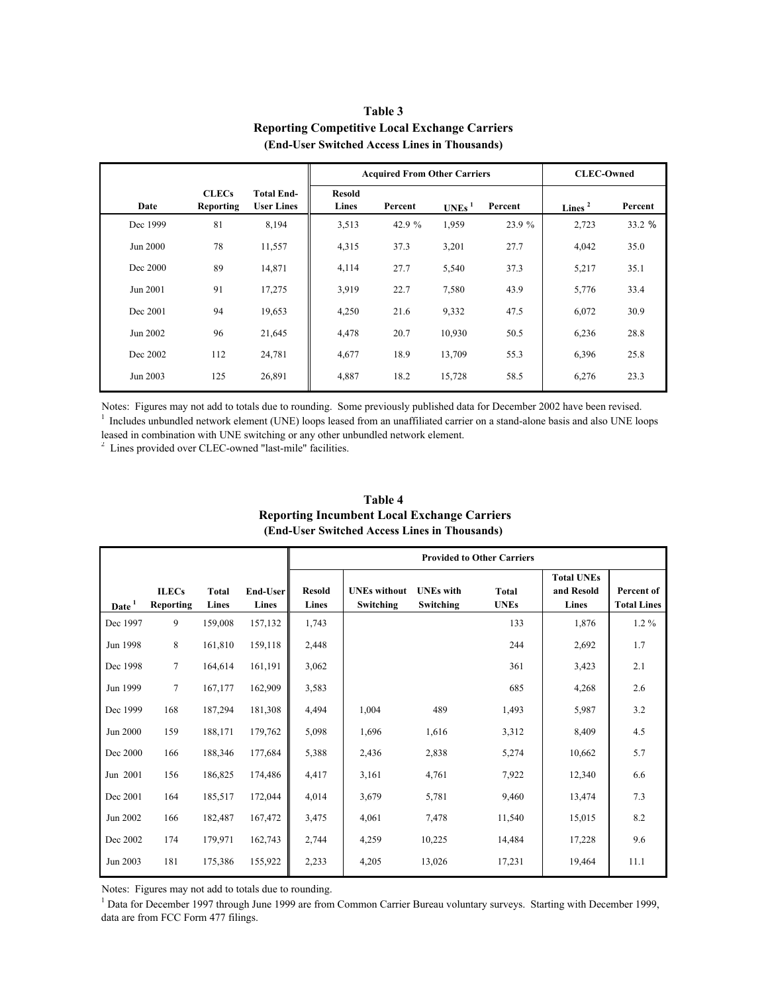|          |                                  |                                        |                        | <b>Acquired From Other Carriers</b> | <b>CLEC-Owned</b> |         |           |         |  |
|----------|----------------------------------|----------------------------------------|------------------------|-------------------------------------|-------------------|---------|-----------|---------|--|
| Date     | <b>CLECs</b><br><b>Reporting</b> | <b>Total End-</b><br><b>User Lines</b> | <b>Resold</b><br>Lines | Percent                             | UNEs <sup>1</sup> | Percent | Lines $2$ | Percent |  |
| Dec 1999 | 81                               | 8,194                                  | 3,513                  | 42.9 %                              | 1,959             | 23.9 %  | 2,723     | 33.2 %  |  |
| Jun 2000 | 78                               | 11,557                                 | 4,315                  | 37.3                                | 3,201             | 27.7    | 4,042     | 35.0    |  |
| Dec 2000 | 89                               | 14,871                                 | 4,114                  | 27.7                                | 5,540             | 37.3    | 5,217     | 35.1    |  |
| Jun 2001 | 91                               | 17,275                                 | 3,919                  | 22.7                                | 7,580             | 43.9    | 5,776     | 33.4    |  |
| Dec 2001 | 94                               | 19,653                                 | 4,250                  | 21.6                                | 9,332             | 47.5    | 6,072     | 30.9    |  |
| Jun 2002 | 96                               | 21,645                                 | 4,478                  | 20.7                                | 10,930            | 50.5    | 6,236     | 28.8    |  |
| Dec 2002 | 112                              | 24,781                                 | 4,677                  | 18.9                                | 13,709            | 55.3    | 6,396     | 25.8    |  |
| Jun 2003 | 125                              | 26,891                                 | 4,887                  | 18.2                                | 15,728            | 58.5    | 6,276     | 23.3    |  |

### **Table 3 Reporting Competitive Local Exchange Carriers (End-User Switched Access Lines in Thousands)**

Notes: Figures may not add to totals due to rounding. Some previously published data for December 2002 have been revised. <sup>1</sup> Includes unbundled network element (UNE) loops leased from an unaffiliated carrier on a stand-alone basis and also UNE loops

leased in combination with UNE switching or any other unbundled network element.

<sup>2</sup> Lines provided over CLEC-owned "last-mile" facilities.

|                   |                                  |                       |                   |                        | <b>Provided to Other Carriers</b> |                               |                             |                                          |                                  |  |
|-------------------|----------------------------------|-----------------------|-------------------|------------------------|-----------------------------------|-------------------------------|-----------------------------|------------------------------------------|----------------------------------|--|
| Date <sup>1</sup> | <b>ILECs</b><br><b>Reporting</b> | <b>Total</b><br>Lines | End-User<br>Lines | <b>Resold</b><br>Lines | <b>UNEs</b> without<br>Switching  | <b>UNEs</b> with<br>Switching | <b>Total</b><br><b>UNEs</b> | <b>Total UNEs</b><br>and Resold<br>Lines | Percent of<br><b>Total Lines</b> |  |
| Dec 1997          | 9                                | 159,008               | 157,132           | 1,743                  |                                   |                               | 133                         | 1,876                                    | $1.2\%$                          |  |
| Jun 1998          | 8                                | 161,810               | 159,118           | 2,448                  |                                   |                               | 244                         | 2,692                                    | 1.7                              |  |
| Dec 1998          | 7                                | 164,614               | 161,191           | 3,062                  |                                   |                               | 361                         | 3,423                                    | 2.1                              |  |
| Jun 1999          | 7                                | 167,177               | 162,909           | 3,583                  |                                   |                               | 685                         | 4,268                                    | 2.6                              |  |
| Dec 1999          | 168                              | 187,294               | 181,308           | 4,494                  | 1,004                             | 489                           | 1,493                       | 5,987                                    | 3.2                              |  |
| Jun 2000          | 159                              | 188,171               | 179,762           | 5,098                  | 1,696                             | 1,616                         | 3,312                       | 8,409                                    | 4.5                              |  |
| Dec 2000          | 166                              | 188,346               | 177,684           | 5,388                  | 2,436                             | 2,838                         | 5,274                       | 10,662                                   | 5.7                              |  |
| Jun 2001          | 156                              | 186,825               | 174,486           | 4,417                  | 3,161                             | 4,761                         | 7,922                       | 12,340                                   | 6.6                              |  |
| Dec 2001          | 164                              | 185,517               | 172,044           | 4,014                  | 3,679                             | 5,781                         | 9,460                       | 13,474                                   | 7.3                              |  |
| Jun 2002          | 166                              | 182,487               | 167,472           | 3,475                  | 4,061                             | 7,478                         | 11,540                      | 15,015                                   | 8.2                              |  |
| Dec 2002          | 174                              | 179,971               | 162,743           | 2,744                  | 4,259                             | 10,225                        | 14,484                      | 17,228                                   | 9.6                              |  |
| Jun 2003          | 181                              | 175,386               | 155,922           | 2,233                  | 4,205                             | 13,026                        | 17,231                      | 19,464                                   | 11.1                             |  |

#### **Reporting Incumbent Local Exchange Carriers (End-User Switched Access Lines in Thousands) Table 4**

Notes: Figures may not add to totals due to rounding.

<sup>1</sup> Data for December 1997 through June 1999 are from Common Carrier Bureau voluntary surveys. Starting with December 1999, data are from FCC Form 477 filings.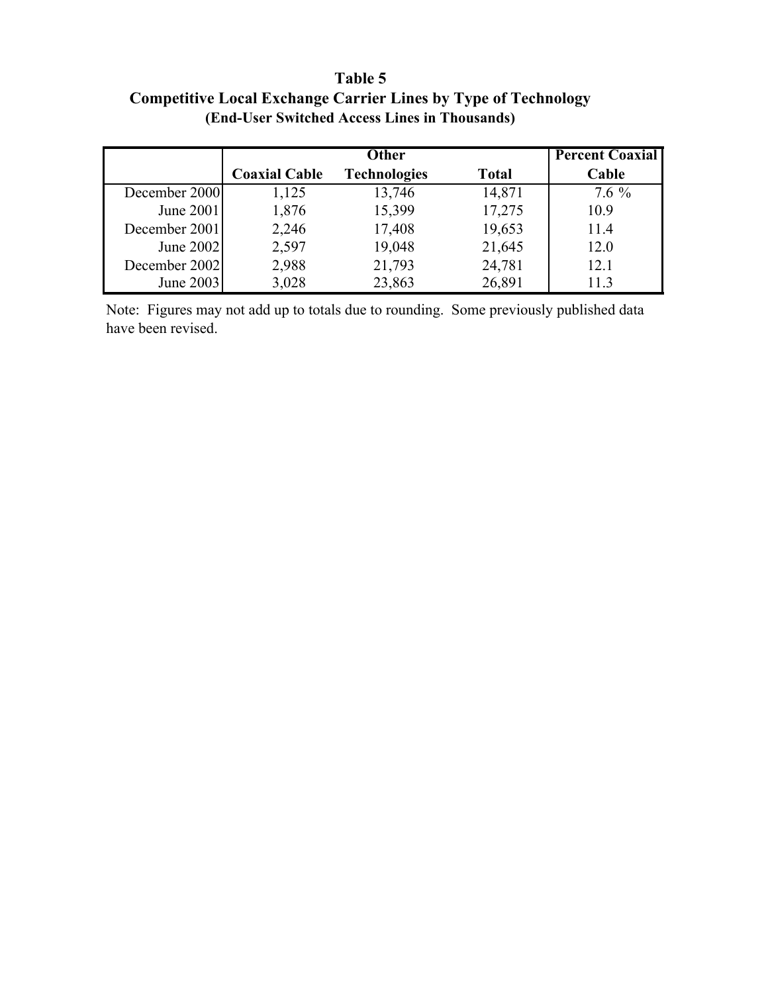# **Table 5 Competitive Local Exchange Carrier Lines by Type of Technology (End-User Switched Access Lines in Thousands)**

|               |                      | <b>Other</b>        |              | <b>Percent Coaxial</b> |
|---------------|----------------------|---------------------|--------------|------------------------|
|               | <b>Coaxial Cable</b> | <b>Technologies</b> | <b>Total</b> | Cable                  |
| December 2000 | 1,125                | 13,746              | 14,871       | $7.6\%$                |
| June 2001     | 1,876                | 15,399              | 17,275       | 10.9                   |
| December 2001 | 2,246                | 17,408              | 19,653       | 11.4                   |
| June 2002     | 2,597                | 19,048              | 21,645       | 12.0                   |
| December 2002 | 2,988                | 21,793              | 24,781       | 12.1                   |
| June 2003     | 3,028                | 23,863              | 26,891       | 11.3                   |

Note: Figures may not add up to totals due to rounding. Some previously published data have been revised.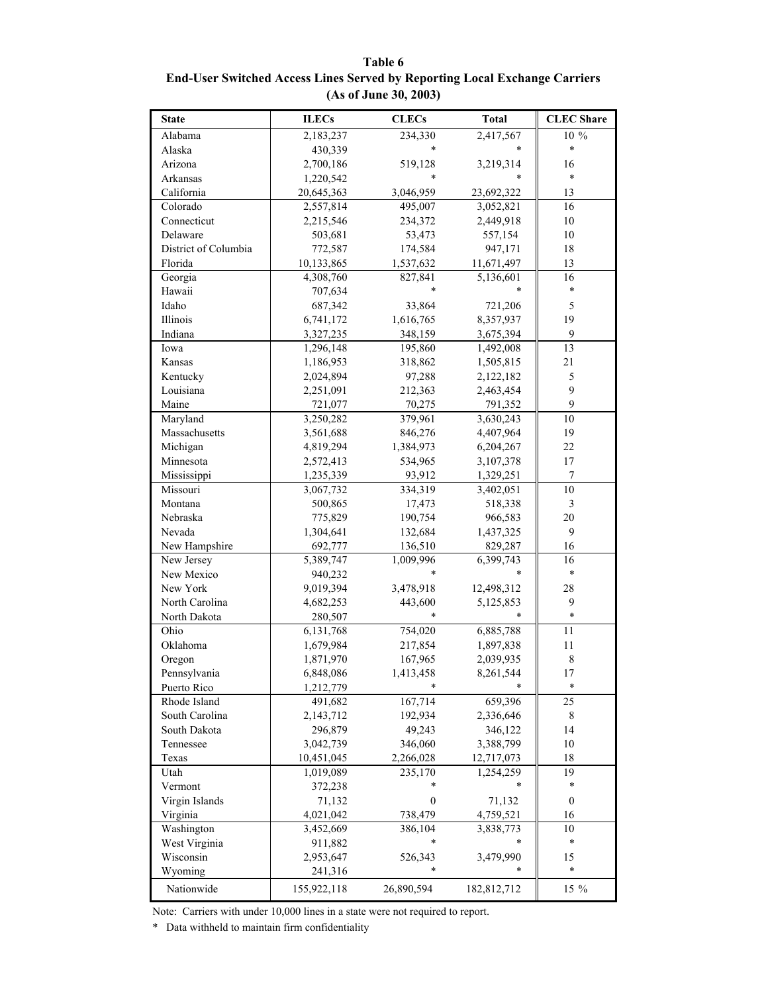**Table 6 End-User Switched Access Lines Served by Reporting Local Exchange Carriers (As of June 30, 2003)**

| <b>State</b>         | <b>ILECs</b> | <b>CLECs</b>     | <b>Total</b> | <b>CLEC</b> Share       |
|----------------------|--------------|------------------|--------------|-------------------------|
| Alabama              | 2,183,237    | 234,330          | 2,417,567    | 10 %                    |
| Alaska               | 430,339      | $\ast$           |              | $\ast$                  |
| Arizona              | 2,700,186    | 519,128          | 3,219,314    | 16                      |
| Arkansas             | 1,220,542    | *                |              | $\ast$                  |
| California           | 20,645,363   | 3,046,959        | 23,692,322   | 13                      |
| Colorado             | 2,557,814    | 495,007          | 3,052,821    | 16                      |
| Connecticut          | 2,215,546    | 234,372          | 2,449,918    | $10\,$                  |
| Delaware             | 503,681      | 53,473           | 557,154      | $10\,$                  |
| District of Columbia | 772,587      | 174,584          | 947,171      | 18                      |
| Florida              | 10,133,865   | 1,537,632        | 11,671,497   | 13                      |
| Georgia              | 4,308,760    | 827,841          | 5,136,601    | 16                      |
| Hawaii               | 707,634      | $\ast$           |              | $\ast$                  |
| Idaho                | 687,342      | 33,864           | 721,206      | 5                       |
| Illinois             | 6,741,172    | 1,616,765        | 8,357,937    | 19                      |
| Indiana              | 3,327,235    | 348,159          | 3,675,394    | 9                       |
| Iowa                 | 1,296,148    | 195,860          | 1,492,008    | 13                      |
| Kansas               | 1,186,953    | 318,862          | 1,505,815    | 21                      |
| Kentucky             | 2,024,894    | 97,288           | 2,122,182    | 5                       |
| Louisiana            | 2,251,091    | 212,363          | 2,463,454    | 9                       |
| Maine                | 721,077      | 70,275           | 791,352      | 9                       |
| Maryland             | 3,250,282    | 379,961          | 3,630,243    | 10                      |
| Massachusetts        | 3,561,688    | 846,276          | 4,407,964    | 19                      |
| Michigan             | 4,819,294    | 1,384,973        | 6,204,267    | 22                      |
| Minnesota            | 2,572,413    | 534,965          | 3,107,378    | 17                      |
| Mississippi          | 1,235,339    | 93,912           | 1,329,251    | 7                       |
| Missouri             | 3,067,732    | 334,319          | 3,402,051    | 10                      |
| Montana              | 500,865      | 17,473           | 518,338      | $\overline{\mathbf{3}}$ |
| Nebraska             | 775,829      | 190,754          | 966,583      | $20\,$                  |
| Nevada               | 1,304,641    | 132,684          | 1,437,325    | 9                       |
| New Hampshire        | 692,777      | 136,510          | 829,287      | 16                      |
| New Jersey           | 5,389,747    | 1,009,996        | 6,399,743    | 16                      |
| New Mexico           | 940,232      | $\ast$           |              | $\ast$                  |
| New York             | 9,019,394    | 3,478,918        | 12,498,312   | 28                      |
| North Carolina       | 4,682,253    | 443,600          | 5,125,853    | 9                       |
| North Dakota         | 280,507      |                  |              | $\ast$                  |
| Ohio                 | 6,131,768    | 754,020          | 6,885,788    | 11                      |
| Oklahoma             | 1,679,984    | 217,854          | 1,897,838    | $11\,$                  |
| Oregon               | 1,871,970    | 167,965          | 2,039,935    | $\,$ 8 $\,$             |
| Pennsylvania         | 6,848,086    | 1,413,458        | 8,261,544    | 17                      |
| Puerto Rico          | 1,212,779    | *                |              | $\ast$                  |
| Rhode Island         | 491,682      | 167,714          | 659,396      | 25                      |
| South Carolina       | 2,143,712    | 192,934          | 2,336,646    | 8                       |
| South Dakota         | 296,879      | 49,243           | 346,122      | 14                      |
| Tennessee            | 3,042,739    | 346,060          | 3,388,799    | 10                      |
| Texas                | 10,451,045   | 2,266,028        | 12,717,073   | 18                      |
| Utah                 | 1,019,089    | 235,170          | 1,254,259    | 19                      |
| Vermont              | 372,238      |                  |              | $\ast$                  |
| Virgin Islands       | 71,132       | $\boldsymbol{0}$ | 71,132       | $\boldsymbol{0}$        |
| Virginia             | 4,021,042    | 738,479          | 4,759,521    | 16                      |
| Washington           | 3,452,669    | 386,104          | 3,838,773    | 10                      |
| West Virginia        | 911,882      | *                |              | $\ast$                  |
| Wisconsin            | 2,953,647    | 526,343          | 3,479,990    | 15                      |
| Wyoming              | 241,316      | *                | *            | $\ast$                  |
|                      |              |                  |              |                         |
| Nationwide           | 155,922,118  | 26,890,594       | 182,812,712  | 15 %                    |

Note: Carriers with under 10,000 lines in a state were not required to report.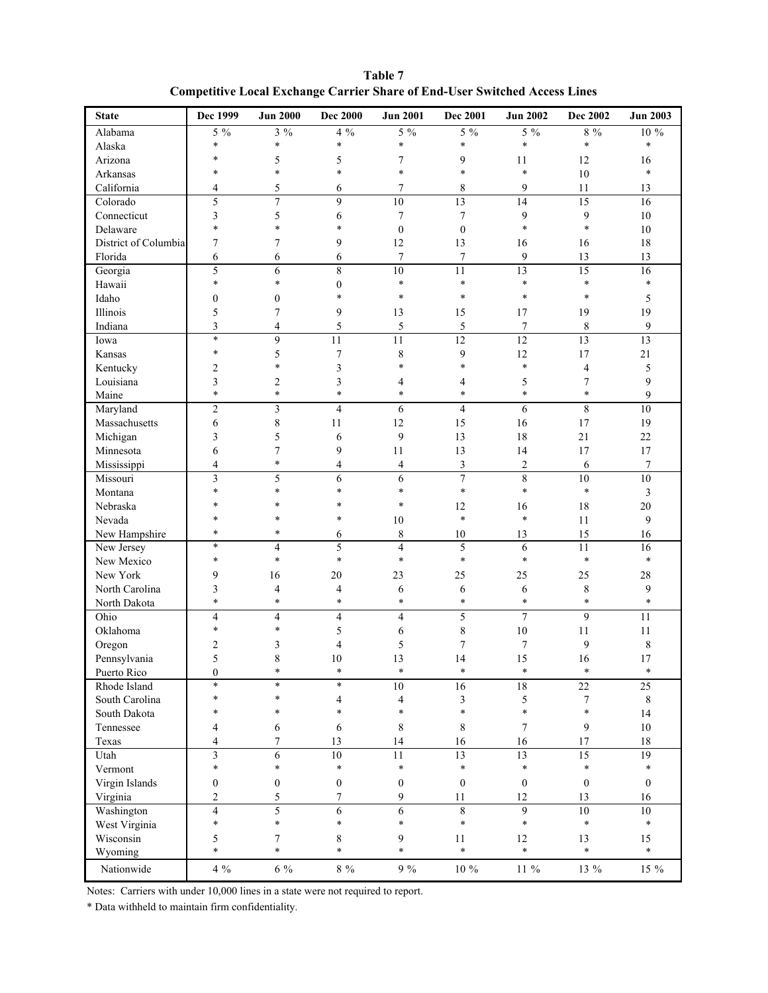| Table 7                                                                           |  |
|-----------------------------------------------------------------------------------|--|
| <b>Competitive Local Exchange Carrier Share of End-User Switched Access Lines</b> |  |

| <b>State</b>         | Dec 1999                 | <b>Jun 2000</b>         | <b>Dec 2000</b>  | <b>Jun 2001</b>         | <b>Dec 2001</b>  | <b>Jun 2002</b>  | Dec 2002         | <b>Jun 2003</b> |
|----------------------|--------------------------|-------------------------|------------------|-------------------------|------------------|------------------|------------------|-----------------|
| Alabama              | $5\%$                    | $3\%$                   | $4\%$            | $5\%$                   | $5\%$            | $5\%$            | $8\%$            | 10 %            |
| Alaska               | $\ast$                   | $\ast$                  | $\ast$           | $\ast$                  | $\ast$           | $\ast$           | $\ast$           | $\ast$          |
| Arizona              | $\ast$                   | 5                       | 5                | 7                       | 9                | 11               | 12               | 16              |
| Arkansas             | *                        | $\ast$                  | $\ast$           | $\ast$                  | $\ast$           | $\ast$           | 10               | $\ast$          |
| California           | 4                        | 5                       | 6                | 7                       | 8                | 9                | 11               | 13              |
| Colorado             | 5                        | $\overline{7}$          | 9                | 10                      | 13               | 14               | 15               | 16              |
| Connecticut          | 3                        | 5                       | 6                | 7                       | 7                | 9                | 9                | 10              |
| Delaware             | $\ast$                   | $\ast$                  | $\ast$           | $\boldsymbol{0}$        | $\boldsymbol{0}$ | $\ast$           | $\ast$           | 10              |
| District of Columbia | 7                        | 7                       | 9                | 12                      | 13               | 16               | 16               | 18              |
| Florida              | 6                        | 6                       | 6                | $\tau$                  | 7                | 9                | 13               | 13              |
| Georgia              | 5                        | $\overline{6}$          | $\overline{8}$   | $\overline{10}$         | 11               | 13               | $\overline{15}$  | $\overline{16}$ |
| Hawaii               | $\ast$                   | $\ast$                  | $\boldsymbol{0}$ | $\ast$                  | $\ast$           | $\ast$           | $\ast$           | $\ast$          |
| Idaho                | $\boldsymbol{0}$         | $\boldsymbol{0}$        | $\ast$           | $\ast$                  | $\ast$           | $\ast$           | $\ast$           | 5               |
| Illinois             | 5                        | $\overline{7}$          | 9                | 13                      | 15               | 17               | 19               | 19              |
| Indiana              | 3                        | 4                       | 5                | $\sqrt{5}$              | 5                | 7                | 8                | 9               |
| Iowa                 | $\ast$                   | 9                       | 11               | 11                      | $\overline{12}$  | $\overline{12}$  | $\overline{13}$  | $\overline{13}$ |
| Kansas               | $\ast$                   | 5                       | 7                | 8                       | 9                | 12               | 17               | 21              |
| Kentucky             | $\overline{c}$           | $\ast$                  | 3                | $\ast$                  | $\ast$           | $\ast$           | 4                | 5               |
| Louisiana            | 3                        | 2                       | 3                | 4                       | 4                | 5                | $\overline{7}$   | 9               |
| Maine                | $\ast$                   | $\ast$                  | $\ast$           | $\ast$                  | $\ast$           | $\ast$           | $\ast$           | 9               |
| Maryland             | $\overline{2}$           | $\overline{\mathbf{3}}$ | $\overline{4}$   | 6                       | $\overline{4}$   | 6                | $\overline{8}$   | $\overline{10}$ |
| Massachusetts        | 6                        | 8                       | 11               | 12                      | 15               | 16               | 17               | 19              |
| Michigan             | 3                        | 5                       | 6                | 9                       | 13               | 18               | 21               | $22\,$          |
| Minnesota            | 6                        | $\boldsymbol{7}$        | 9                | 11                      | 13               | 14               | 17               | 17              |
| Mississippi          | 4                        | $\ast$                  | $\overline{4}$   | $\overline{4}$          | 3                | $\overline{c}$   | 6                | 7               |
| Missouri             | 3                        | 5                       | 6                | 6                       | $\overline{7}$   | 8                | 10               | $10\,$          |
| Montana              | $\ast$                   | $\ast$                  | $\ast$           | $\ast$                  | $\ast$           | $\ast$           | $\ast$           | 3               |
| Nebraska             | $\ast$                   | $\ast$                  | $\ast$           | $\ast$                  | 12               | 16               | 18               | 20              |
| Nevada               | $\ast$                   | $\ast$                  | $\ast$           | 10                      | $\ast$           | $\ast$           | 11               | 9               |
| New Hampshire        | $\ast$                   | *                       | 6                | 8                       | 10               | 13               | 15               | 16              |
| New Jersey           | $\ast$                   | $\overline{4}$          | 5                | $\overline{\mathbf{4}}$ | 5                | 6                | 11               | 16              |
| New Mexico           | $\ast$                   | $\ast$                  | $\ast$           | $\ast$                  | $\ast$           | $\ast$           | $\ast$           | $\ast$          |
| New York             | 9                        | 16                      | 20               | 23                      | 25               | 25               | 25               | 28              |
| North Carolina       | 3                        | 4                       | 4                | 6                       | 6                | 6                | 8                | 9               |
| North Dakota         | $\ast$                   | $\ast$                  | $\ast$           | $\ast$                  | $\ast$           | $\ast$           | $\ast$           | $\ast$          |
| Ohio                 | $\overline{\mathcal{L}}$ | 4                       | $\overline{4}$   | $\overline{4}$          | 5                | $\tau$           | 9                | 11              |
| Oklahoma             | $\ast$                   | $\ast$                  | 5                | 6                       | $\,$ 8 $\,$      | $10\,$           | 11               | 11              |
| Oregon               | 2                        | 3                       | 4                | 5                       | $\boldsymbol{7}$ | 7                | 9                | 8               |
| Pennsylvania         | 5                        | 8                       | 10               | 13                      | 14               | 15               | 16               | 17              |
| Puerto Rico          | $\boldsymbol{0}$         | $\ast$                  | $\ast$           | $\ast$                  | $\ast$           | $\ast$           | $\ast$           | $\ast$          |
| Rhode Island         | $\ast$                   | $\ast$                  | $\ast$           | 10                      | 16               | $18\,$           | $\overline{22}$  | $\overline{25}$ |
| South Carolina       | $\ast$                   | $\ast$                  | 4                | 4                       | $\mathfrak{Z}$   | 5                | 7                | 8               |
| South Dakota         | *                        | $\ast$                  | $\ast$           | $\ast$                  | $\ast$           | $\ast$           | $\ast$           | 14              |
| Tennessee            | 4                        | 6                       | 6                | 8                       | 8                | 7                | 9                | $10\,$          |
| Texas                | 4                        | $\overline{7}$          | 13               | 14                      | 16               | 16               | 17               | 18              |
| Utah                 | $\overline{\mathbf{3}}$  | 6                       | 10               | 11                      | 13               | 13               | 15               | $\overline{19}$ |
| Vermont              | $\ast$                   | $\ast$                  | $\ast$           | $\ast$                  | $\ast$           | $\ast$           | $\ast$           | $\ast$          |
| Virgin Islands       | $\boldsymbol{0}$         | $\boldsymbol{0}$        | $\boldsymbol{0}$ | $\boldsymbol{0}$        | $\boldsymbol{0}$ | $\boldsymbol{0}$ | $\boldsymbol{0}$ | $\theta$        |
| Virginia             | $\overline{c}$           | 5                       | 7                | 9                       | 11               | 12               | 13               | 16              |
| Washington           | $\overline{4}$           | 5                       | 6                | 6                       | 8                | 9                | $\overline{10}$  | $\overline{10}$ |
| West Virginia        | $\ast$                   | $\ast$                  | $\ast$           | $\ast$                  | $\ast$           | $\ast$           | $\ast$           | $\ast$          |
| Wisconsin            | 5                        | 7                       | 8                | 9                       | $11\,$           | 12               | 13               | 15              |
| Wyoming              | $\ast$                   | $\ast$                  | $\ast$           | $\ast$                  | $\ast$           | $\ast$           | $\ast$           | $\ast$          |
|                      |                          |                         |                  |                         |                  |                  |                  |                 |
| Nationwide           | $4\%$                    | $6\%$                   | $8 \ \%$         | $9\%$                   | $10\ \%$         | $11 \ \%$        | 13 %             | 15 %            |

Notes: Carriers with under 10,000 lines in a state were not required to report.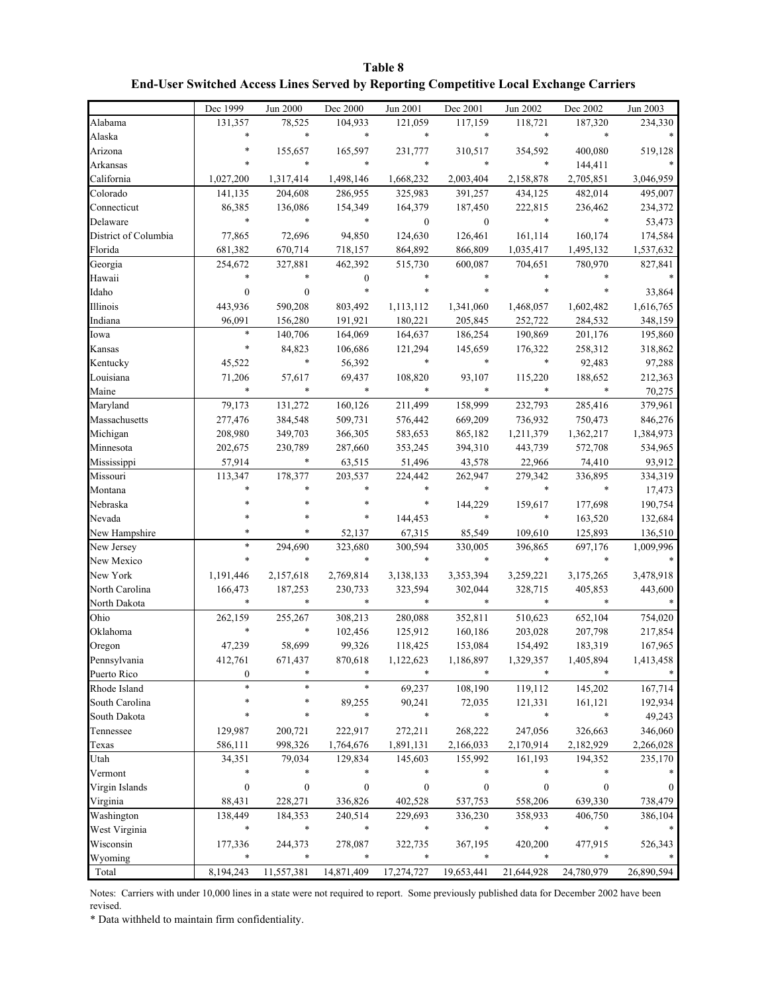| Table 8                                                                                       |
|-----------------------------------------------------------------------------------------------|
| <b>End-User Switched Access Lines Served by Reporting Competitive Local Exchange Carriers</b> |

|                      | Dec 1999         | Jun 2000         | Dec 2000         | Jun 2001         | Dec 2001         | Jun 2002   | Dec 2002   | Jun 2003   |
|----------------------|------------------|------------------|------------------|------------------|------------------|------------|------------|------------|
| Alabama              | 131,357          | 78,525           | 104,933          | 121,059          | 117,159          | 118,721    | 187,320    | 234,330    |
| Alaska               | $\ast$           | $\ast$           | $\ast$           | $\ast$           | $\ast$           | $\ast$     | $\ast$     |            |
| Arizona              |                  | 155,657          | 165,597          | 231,777          | 310,517          | 354,592    | 400,080    | 519,128    |
| Arkansas             |                  | $\ast$           | $\ast$           | $\ast$           | *                | $\ast$     | 144,411    |            |
| California           | 1,027,200        | 1,317,414        | 1,498,146        | 1,668,232        | 2,003,404        | 2,158,878  | 2,705,851  | 3,046,959  |
| Colorado             | 141,135          | 204,608          | 286,955          | 325,983          | 391,257          | 434,125    | 482,014    | 495,007    |
| Connecticut          | 86,385           | 136,086          | 154,349          | 164,379          | 187,450          | 222,815    | 236,462    | 234,372    |
| Delaware             | $\ast$           | $\ast$           | $\ast$           | $\boldsymbol{0}$ | $\boldsymbol{0}$ | $\ast$     | $\ast$     | 53,473     |
| District of Columbia | 77,865           | 72,696           | 94,850           | 124,630          | 126,461          | 161,114    | 160,174    | 174,584    |
| Florida              | 681,382          | 670,714          | 718,157          | 864,892          | 866,809          | 1,035,417  | 1,495,132  | 1,537,632  |
| Georgia              | 254,672          | 327,881          | 462,392          | 515,730          | 600,087          | 704,651    | 780,970    | 827,841    |
| Hawaii               |                  |                  | $\boldsymbol{0}$ |                  |                  |            |            |            |
| Idaho                | $\theta$         | $\mathbf{0}$     | $\ast$           | $\ast$           |                  |            |            | 33,864     |
| Illinois             | 443,936          | 590,208          | 803,492          | 1,113,112        | 1,341,060        | 1,468,057  | 1,602,482  | 1,616,765  |
| Indiana              | 96,091           | 156,280          | 191,921          | 180,221          | 205,845          | 252,722    | 284,532    | 348,159    |
| Iowa                 | $\ast$           | 140,706          | 164,069          | 164,637          | 186,254          | 190,869    | 201,176    | 195,860    |
| Kansas               | *                | 84,823           | 106,686          | 121,294          | 145,659          | 176,322    | 258,312    | 318,862    |
| Kentucky             | 45,522           | *                | 56,392           | $\ast$           | *                | $\ast$     | 92,483     | 97,288     |
| Louisiana            | 71,206           | 57,617           | 69,437           | 108,820          | 93,107           | 115,220    | 188,652    | 212,363    |
| Maine                | $\ast$           | $\ast$           | $\ast$           | $\ast$           | *                | $\ast$     | $\ast$     | 70,275     |
| Maryland             | 79,173           | 131,272          | 160,126          | 211,499          | 158,999          | 232,793    | 285,416    | 379,961    |
| Massachusetts        | 277,476          | 384,548          | 509,731          | 576,442          | 669,209          | 736,932    | 750,473    | 846,276    |
| Michigan             | 208,980          | 349,703          | 366,305          | 583,653          | 865,182          | 1,211,379  | 1,362,217  | 1,384,973  |
| Minnesota            | 202,675          | 230,789          | 287,660          | 353,245          | 394,310          | 443,739    | 572,708    | 534,965    |
| Mississippi          | 57,914           | *                | 63,515           | 51,496           | 43,578           | 22,966     | 74,410     | 93,912     |
| Missouri             | 113,347          | 178,377          | 203,537          | 224,442          | 262,947          | 279,342    | 336,895    | 334,319    |
| Montana              |                  |                  |                  | $\ast$           | *                | $\ast$     | $\ast$     | 17,473     |
| Nebraska             |                  |                  | $\ast$           | $\ast$           | 144,229          | 159,617    | 177,698    | 190,754    |
| Nevada               |                  |                  | *                | 144,453          | *                | *          | 163,520    | 132,684    |
| New Hampshire        | $\ast$           |                  | 52,137           | 67,315           | 85,549           | 109,610    | 125,893    | 136,510    |
| New Jersey           | $\ast$           | 294,690          | 323,680          | 300,594          | 330,005          | 396,865    | 697,176    | 1,009,996  |
| New Mexico           | $\ast$           | $\ast$           | $\ast$           | $\ast$           | *                | $\ast$     | $\ast$     |            |
| New York             | 1,191,446        | 2,157,618        | 2,769,814        | 3,138,133        | 3,353,394        | 3,259,221  | 3,175,265  | 3,478,918  |
| North Carolina       | 166,473          | 187,253          | 230,733          | 323,594          | 302,044          | 328,715    | 405,853    | 443,600    |
| North Dakota         | $\ast$           |                  | $\ast$           | $\ast$           | *                | $\ast$     |            |            |
| Ohio                 | 262,159          | 255,267          | 308,213          | 280,088          | 352,811          | 510,623    | 652,104    | 754,020    |
| Oklahoma             | $\ast$           |                  | 102,456          | 125,912          | 160,186          | 203,028    | 207,798    | 217,854    |
| Oregon               | 47,239           | 58,699           | 99,326           | 118,425          | 153,084          | 154,492    | 183,319    | 167,965    |
| Pennsylvania         | 412,761          | 671,437          | 870,618          | 1,122,623        | 1,186,897        | 1,329,357  | 1,405,894  | 1,413,458  |
| Puerto Rico          | $\boldsymbol{0}$ |                  | $\ast$           | $\ast$           | *                | $\ast$     |            |            |
| Rhode Island         |                  |                  | $\ast$           | 69,237           | 108,190          | 119,112    | 145,202    | 167,714    |
| South Carolina       |                  |                  | 89,255           | 90,241           | 72,035           | 121,331    | 161,121    | 192,934    |
| South Dakota         |                  | *                | $\ast$           | $\ast$           | $\ast$           | *          | $\ast$     | 49,243     |
| Tennessee            | 129,987          | 200,721          | 222,917          | 272,211          | 268,222          | 247,056    | 326,663    | 346,060    |
| Texas                | 586,111          | 998,326          | 1,764,676        | 1,891,131        | 2,166,033        | 2,170,914  | 2,182,929  | 2,266,028  |
| Utah                 | 34,351           | 79,034           | 129,834          | 145,603          | 155,992          | 161,193    | 194,352    | 235,170    |
| Vermont              | $\ast$           |                  | $\ast$           | $\ast$           | *                | $\ast$     |            |            |
| Virgin Islands       | $\boldsymbol{0}$ | $\boldsymbol{0}$ | $\boldsymbol{0}$ | 0                | $\boldsymbol{0}$ | 0          | 0          | $\Omega$   |
| Virginia             | 88,431           | 228,271          | 336,826          | 402,528          | 537,753          | 558,206    | 639,330    | 738,479    |
| Washington           | 138,449          | 184,353          | 240,514          | 229,693          | 336,230          | 358,933    | 406,750    | 386,104    |
| West Virginia        | $\ast$           | $\ast$           | $\ast$           | $\ast$           | $\ast$           | *          | $\ast$     |            |
| Wisconsin            | 177,336          | 244,373          | 278,087          | 322,735          | 367,195          | 420,200    | 477,915    | 526,343    |
| Wyoming              | $\ast$           |                  | $\ast$           | $\ast$           |                  |            |            |            |
| Total                | 8,194,243        | 11,557,381       | 14,871,409       | 17,274,727       | 19,653,441       | 21,644,928 | 24,780,979 | 26,890,594 |

Notes: Carriers with under 10,000 lines in a state were not required to report. Some previously published data for December 2002 have been revised.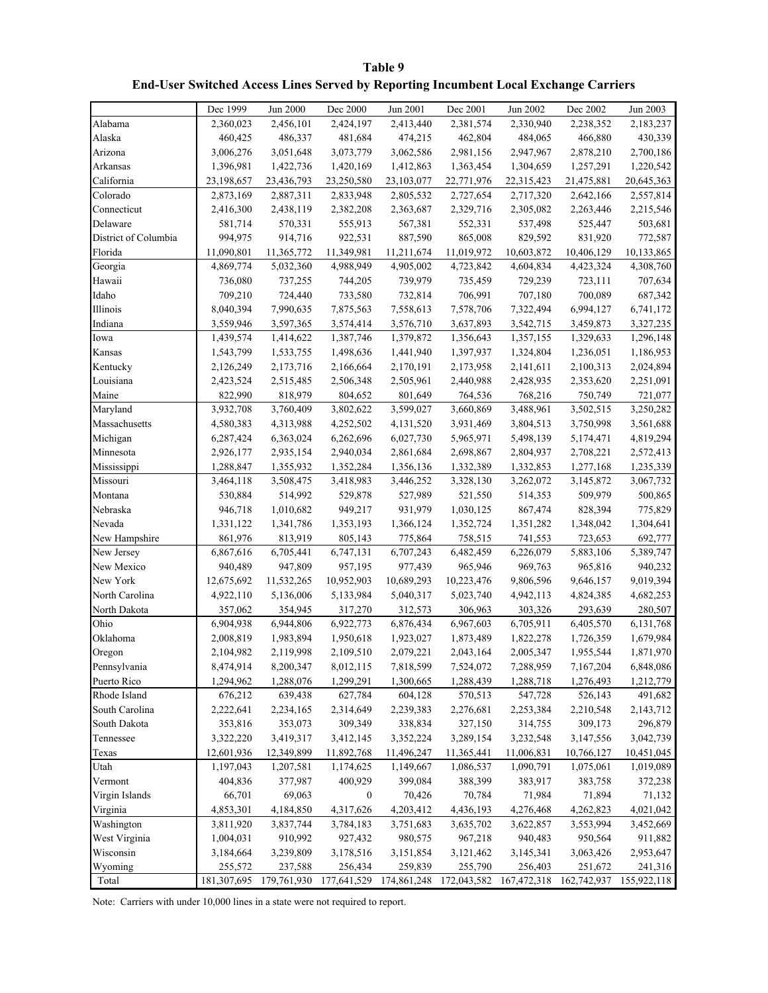| Table 9                                                                                     |
|---------------------------------------------------------------------------------------------|
| <b>End-User Switched Access Lines Served by Reporting Incumbent Local Exchange Carriers</b> |

|                      | Dec 1999    | Jun 2000    | Dec 2000                | Jun 2001   | Dec 2001    | Jun 2002    | Dec 2002    | Jun 2003    |
|----------------------|-------------|-------------|-------------------------|------------|-------------|-------------|-------------|-------------|
| Alabama              | 2,360,023   | 2,456,101   | 2,424,197               | 2,413,440  | 2,381,574   | 2,330,940   | 2,238,352   | 2,183,237   |
| Alaska               | 460,425     | 486,337     | 481,684                 | 474,215    | 462,804     | 484,065     | 466,880     | 430,339     |
| Arizona              | 3,006,276   | 3,051,648   | 3,073,779               | 3,062,586  | 2,981,156   | 2,947,967   | 2,878,210   | 2,700,186   |
| Arkansas             | 1,396,981   | 1,422,736   | 1,420,169               | 1,412,863  | 1,363,454   | 1,304,659   | 1,257,291   | 1,220,542   |
| California           | 23,198,657  | 23,436,793  | 23,250,580              | 23,103,077 | 22,771,976  | 22,315,423  | 21,475,881  | 20,645,363  |
| Colorado             | 2,873,169   | 2,887,311   | 2,833,948               | 2,805,532  | 2,727,654   | 2,717,320   | 2,642,166   | 2,557,814   |
| Connecticut          | 2,416,300   | 2,438,119   | 2,382,208               | 2,363,687  | 2,329,716   | 2,305,082   | 2,263,446   | 2,215,546   |
| Delaware             | 581,714     | 570,331     | 555,913                 | 567,381    | 552,331     | 537,498     | 525,447     | 503,681     |
| District of Columbia | 994,975     | 914,716     | 922,531                 | 887,590    | 865,008     | 829,592     | 831,920     | 772,587     |
| Florida              | 11,090,801  | 11,365,772  | 11,349,981              | 11,211,674 | 11,019,972  | 10,603,872  | 10,406,129  | 10,133,865  |
| Georgia              | 4,869,774   | 5,032,360   | 4,988,949               | 4,905,002  | 4,723,842   | 4,604,834   | 4,423,324   | 4,308,760   |
| Hawaii               | 736,080     | 737,255     | 744,205                 | 739,979    | 735,459     | 729,239     | 723,111     | 707,634     |
| Idaho                | 709,210     | 724,440     | 733,580                 | 732,814    | 706,991     | 707,180     | 700,089     | 687,342     |
| Illinois             | 8,040,394   | 7,990,635   | 7,875,563               | 7,558,613  | 7,578,706   | 7,322,494   | 6,994,127   | 6,741,172   |
| Indiana              | 3,559,946   | 3,597,365   | 3,574,414               | 3,576,710  | 3,637,893   | 3,542,715   | 3,459,873   | 3,327,235   |
| Iowa                 | 1,439,574   | 1,414,622   | 1,387,746               | 1,379,872  | 1,356,643   | 1,357,155   | 1,329,633   | 1,296,148   |
| Kansas               | 1,543,799   | 1,533,755   | 1,498,636               | 1,441,940  | 1,397,937   | 1,324,804   | 1,236,051   | 1,186,953   |
| Kentucky             | 2,126,249   | 2,173,716   | 2,166,664               | 2,170,191  | 2,173,958   | 2,141,611   | 2,100,313   | 2,024,894   |
| Louisiana            | 2,423,524   | 2,515,485   | 2,506,348               | 2,505,961  | 2,440,988   | 2,428,935   | 2,353,620   | 2,251,091   |
| Maine                | 822,990     | 818,979     | 804,652                 | 801,649    | 764,536     | 768,216     | 750,749     | 721,077     |
| Maryland             | 3,932,708   | 3,760,409   | 3,802,622               | 3,599,027  | 3,660,869   | 3,488,961   | 3,502,515   | 3,250,282   |
| Massachusetts        | 4,580,383   | 4,313,988   | 4,252,502               | 4,131,520  | 3,931,469   | 3,804,513   | 3,750,998   | 3,561,688   |
| Michigan             | 6,287,424   | 6,363,024   | 6,262,696               | 6,027,730  | 5,965,971   | 5,498,139   | 5,174,471   | 4,819,294   |
| Minnesota            | 2,926,177   | 2,935,154   | 2,940,034               | 2,861,684  | 2,698,867   | 2,804,937   | 2,708,221   | 2,572,413   |
| Mississippi          | 1,288,847   | 1,355,932   | 1,352,284               | 1,356,136  | 1,332,389   | 1,332,853   | 1,277,168   | 1,235,339   |
| Missouri             | 3,464,118   | 3,508,475   | 3,418,983               | 3,446,252  | 3,328,130   | 3,262,072   | 3,145,872   | 3,067,732   |
| Montana              | 530,884     | 514,992     | 529,878                 | 527,989    | 521,550     | 514,353     | 509,979     | 500,865     |
| Nebraska             | 946,718     | 1,010,682   | 949,217                 | 931,979    | 1,030,125   | 867,474     | 828,394     | 775,829     |
| Nevada               | 1,331,122   | 1,341,786   | 1,353,193               | 1,366,124  | 1,352,724   | 1,351,282   | 1,348,042   | 1,304,641   |
| New Hampshire        | 861,976     | 813,919     | 805,143                 | 775,864    | 758,515     | 741,553     | 723,653     | 692,777     |
| New Jersey           | 6,867,616   | 6,705,441   | 6,747,131               | 6,707,243  | 6,482,459   | 6,226,079   | 5,883,106   | 5,389,747   |
| New Mexico           | 940,489     | 947,809     | 957,195                 | 977,439    | 965,946     | 969,763     | 965,816     | 940,232     |
| New York             | 12,675,692  | 11,532,265  | 10,952,903              | 10,689,293 | 10,223,476  | 9,806,596   | 9,646,157   | 9,019,394   |
| North Carolina       | 4,922,110   | 5,136,006   | 5,133,984               | 5,040,317  | 5,023,740   | 4,942,113   | 4,824,385   | 4,682,253   |
| North Dakota         | 357,062     | 354,945     | 317,270                 | 312,573    | 306,963     | 303,326     | 293,639     | 280,507     |
| Ohio                 | 6,904,938   | 6,944,806   | 6,922,773               | 6,876,434  | 6,967,603   | 6,705,911   | 6,405,570   | 6,131,768   |
| Oklahoma             | 2,008,819   | 1,983,894   | 1,950,618               | 1,923,027  | 1,873,489   | 1,822,278   | 1,726,359   | 1,679,984   |
| Oregon               | 2,104,982   | 2,119,998   | 2,109,510               | 2,079,221  | 2,043,164   | 2,005,347   | 1,955,544   | 1,871,970   |
| Pennsylvania         | 8,474,914   | 8,200,347   | 8,012,115               | 7,818,599  | 7,524,072   | 7,288,959   | 7,167,204   | 6,848,086   |
| Puerto Rico          | 1,294,962   | 1,288,076   | 1,299,291               | 1,300,665  | 1,288,439   | 1,288,718   | 1,276,493   | 1,212,779   |
| Rhode Island         | 676,212     | 639,438     | 627,784                 | 604,128    | 570,513     | 547,728     | 526,143     | 491,682     |
| South Carolina       | 2,222,641   | 2,234,165   | 2,314,649               | 2,239,383  | 2,276,681   | 2,253,384   | 2,210,548   | 2,143,712   |
| South Dakota         | 353,816     | 353,073     | 309,349                 | 338,834    | 327,150     | 314,755     | 309,173     | 296,879     |
| Tennessee            | 3,322,220   | 3,419,317   | 3,412,145               | 3,352,224  | 3,289,154   | 3,232,548   | 3,147,556   | 3,042,739   |
| Texas                | 12,601,936  | 12,349,899  | 11,892,768              | 11,496,247 | 11,365,441  | 11,006,831  | 10,766,127  | 10,451,045  |
| Utah                 | 1,197,043   | 1,207,581   | 1,174,625               | 1,149,667  | 1,086,537   | 1,090,791   | 1,075,061   | 1,019,089   |
| Vermont              | 404,836     | 377,987     | 400,929                 | 399,084    | 388,399     | 383,917     | 383,758     | 372,238     |
| Virgin Islands       | 66,701      | 69,063      | $\boldsymbol{0}$        | 70,426     | 70,784      | 71,984      | 71,894      | 71,132      |
| Virginia             | 4,853,301   | 4,184,850   | 4,317,626               | 4,203,412  | 4,436,193   | 4,276,468   | 4,262,823   | 4,021,042   |
| Washington           | 3,811,920   | 3,837,744   | 3,784,183               | 3,751,683  | 3,635,702   | 3,622,857   | 3,553,994   | 3,452,669   |
| West Virginia        | 1,004,031   | 910,992     | 927,432                 | 980,575    | 967,218     | 940,483     | 950,564     | 911,882     |
| Wisconsin            | 3,184,664   | 3,239,809   | 3,178,516               | 3,151,854  | 3,121,462   | 3,145,341   | 3,063,426   | 2,953,647   |
| Wyoming              | 255,572     | 237,588     | 256,434                 | 259,839    | 255,790     | 256,403     | 251,672     | 241,316     |
| Total                | 181,307,695 | 179,761,930 | 177,641,529 174,861,248 |            | 172,043,582 | 167,472,318 | 162,742,937 | 155,922,118 |

Note: Carriers with under 10,000 lines in a state were not required to report.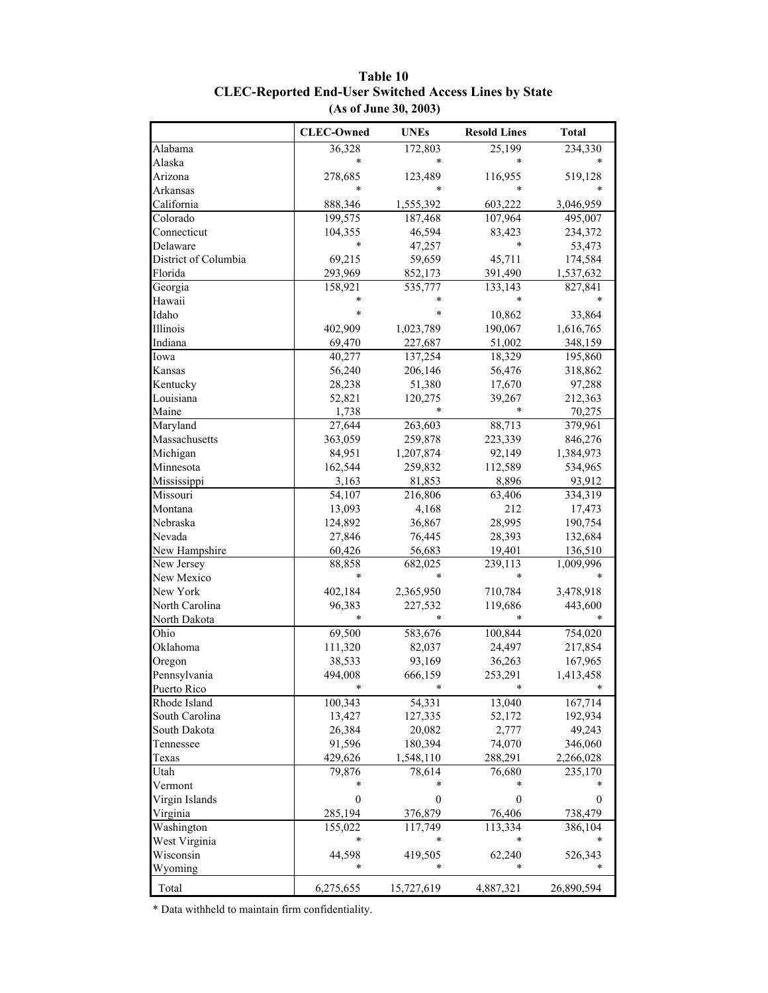|                      | <b>CLEC-Owned</b> | <b>UNEs</b>  | <b>Resold Lines</b> | <b>Total</b>   |
|----------------------|-------------------|--------------|---------------------|----------------|
| Alabama              | 36,328            | 172,803      | 25,199              | 234,330        |
| Alaska               | *                 |              |                     |                |
| Arizona              | 278,685           | 123,489      | 116,955             | 519,128        |
| Arkansas             |                   |              |                     |                |
| California           | 888,346           | 1,555,392    | 603,222             | 3,046,959      |
| Colorado             | 199,575           | 187,468      | 107,964             | 495,007        |
| Connecticut          | 104,355           | 46,594       | 83,423              | 234,372        |
| Delaware             | *                 | 47,257       | $\ast$              | 53,473         |
| District of Columbia | 69,215            | 59,659       | 45,711              | 174,584        |
| Florida              | 293,969           | 852,173      | 391,490             | 1,537,632      |
| Georgia              | 158,921           | 535,777      | 133,143             | 827,841        |
| Hawaii               | *                 |              | *                   |                |
| Idaho                | *                 | $\ast$       | 10,862              | 33,864         |
| Illinois             | 402,909           | 1,023,789    | 190,067             | 1,616,765      |
| Indiana              | 69,470            | 227,687      | 51,002              | 348,159        |
| Iowa                 | 40,277            | 137,254      | 18,329              | 195,860        |
| Kansas               | 56,240            | 206,146      | 56,476              | 318,862        |
| Kentucky             | 28,238            | 51,380       | 17,670              | 97,288         |
| Louisiana            | 52,821            | 120,275      | 39,267              | 212,363        |
| Maine                | 1,738             |              |                     | 70,275         |
| Maryland             | 27,644            | 263,603      | 88,713              | 379,961        |
| Massachusetts        | 363,059           | 259,878      | 223,339             | 846,276        |
| Michigan             | 84,951            | 1,207,874    | 92,149              | 1,384,973      |
| Minnesota            | 162,544           | 259,832      | 112,589             | 534,965        |
| Mississippi          | 3,163             | 81,853       | 8,896               | 93,912         |
| Missouri             | 54,107            | 216,806      | 63,406              | 334,319        |
| Montana              | 13,093            | 4,168        | 212                 | 17,473         |
| Nebraska             | 124,892           | 36,867       | 28,995              | 190,754        |
| Nevada               | 27,846            | 76,445       | 28,393              | 132,684        |
| New Hampshire        | 60,426            | 56,683       | 19,401              | 136,510        |
| New Jersey           | 88,858            | 682,025      | 239,113             | 1,009,996      |
| New Mexico           | *                 |              | *                   |                |
| New York             | 402,184           | 2,365,950    | 710,784             | 3,478,918      |
| North Carolina       | 96,383            | 227,532      | 119,686             | 443,600        |
| North Dakota         | *                 |              | *                   |                |
| Ohio                 | 69,500            | 583,676      | 100,844             | 754,020        |
| Oklahoma             | 111,320           | 82,037       | 24,497              | 217,854        |
| Oregon               | 38,533            | 93,169       | 36,263              | 167,965        |
| Pennsylvania         | 494,008           | 666,159      | 253,291             | 1,413,458      |
| Puerto Rico          | $\ast$            | $\ast$       | $\ast$              | $\ast$         |
| Rhode Island         | 100,343           | 54,331       | 13,040              | 167,714        |
| South Carolina       | 13,427            | 127,335      | 52,172              | 192,934        |
| South Dakota         | 26,384            | 20,082       | 2,777               | 49,243         |
| Tennessee            | 91,596            | 180,394      | 74,070              | 346,060        |
| Texas                | 429,626           | 1,548,110    | 288,291             | 2,266,028      |
| Utah                 | 79,876            | 78,614       | 76,680              | 235,170        |
| Vermont              | *                 | *            |                     |                |
| Virgin Islands       | $\boldsymbol{0}$  | $\mathbf{0}$ | 0                   | $\overline{0}$ |
| Virginia             | 285,194           | 376,879      | 76,406              | 738,479        |
| Washington           | 155,022           | 117,749      | 113,334             | 386,104        |
| West Virginia        | *                 |              | *                   |                |
| Wisconsin            | 44,598<br>*       | 419,505      | 62,240              | 526,343        |
| Wyoming              |                   | $\ast$       | *                   |                |
| Total                | 6,275,655         | 15,727,619   | 4,887,321           | 26,890,594     |

### **Table 10 CLEC-Reported End-User Switched Access Lines by State (As of June 30, 2003)**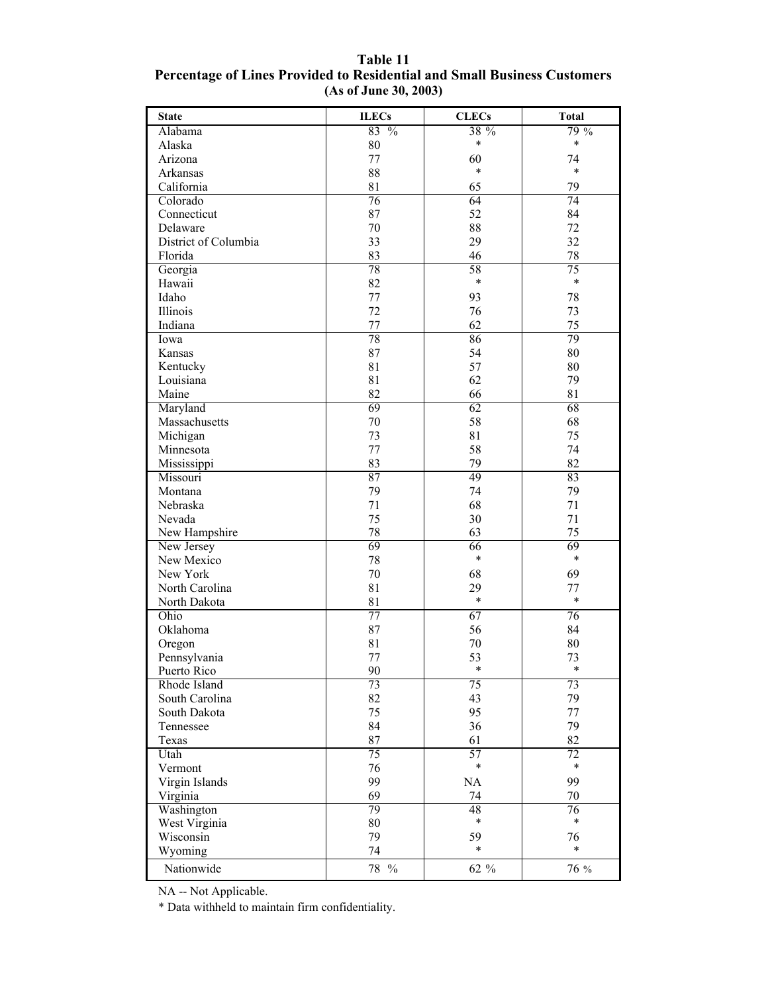| <b>State</b>         | <b>ILECs</b>                  | <b>CLECs</b>    | <b>Total</b> |
|----------------------|-------------------------------|-----------------|--------------|
| Alabama              | 83<br>$\sqrt[0]{\phantom{0}}$ | 38 %            | 79 %         |
| Alaska               | 80                            | *               | $\ast$       |
| Arizona              | 77                            | 60              | 74           |
| Arkansas             | 88                            | $\ast$          | $\ast$       |
| California           | 81                            | 65              | 79           |
| Colorado             | 76                            | 64              | 74           |
| Connecticut          | 87                            | 52              | 84           |
| Delaware             | 70                            | 88              | 72           |
| District of Columbia | 33                            | 29              | 32           |
| Florida              | 83                            | 46              | 78           |
| Georgia              | 78                            | 58              | 75           |
| Hawaii               | 82                            | $\ast$          | $\ast$       |
| Idaho                | 77                            | 93              | 78           |
| Illinois             | 72                            | 76              | 73           |
| Indiana              | 77                            | 62              | 75           |
| Iowa                 | 78                            | 86              | 79           |
| Kansas               | 87                            | 54              | 80           |
| Kentucky             | 81                            | 57              | 80           |
| Louisiana            | 81                            | 62              | 79           |
| Maine                | 82                            | 66              | 81           |
| Maryland             | 69                            | 62              | 68           |
| Massachusetts        | 70                            | 58              | 68           |
| Michigan             | 73                            | 81              | 75           |
| Minnesota            | 77                            | 58              | 74           |
| Mississippi          | 83                            | 79              | 82           |
| Missouri             | 87                            | 49              | 83           |
| Montana              | 79                            | 74              | 79           |
| Nebraska             | 71                            | 68              | 71           |
| Nevada               | 75                            | 30              | 71           |
| New Hampshire        | 78                            | 63              | 75           |
| New Jersey           | 69                            | 66              | 69           |
| New Mexico           | 78                            | $\ast$          | $\ast$       |
| New York             | 70                            | 68              | 69           |
| North Carolina       | 81                            | 29              | 77           |
| North Dakota         | 81                            | $\ast$          | $\ast$       |
| Ohio                 | 77                            | 67              | 76           |
| Oklahoma             | 87                            | 56              | 84           |
| Oregon               | 81                            | 70              | 80           |
| Pennsylvania         | 77                            | 53              | 73           |
| Puerto Rico          | 90                            | $\ast$          | $\ast$       |
| Rhode Island         | 73                            | $\overline{75}$ | 73           |
| South Carolina       | 82                            | 43              | 79           |
| South Dakota         | 75                            | 95              | 77           |
| Tennessee            | 84                            | 36              | 79           |
| Texas                | 87                            | 61              | 82           |
| Utah                 | 75                            | 57              | 72           |
| Vermont              | 76                            | $\ast$          | $\ast$       |
| Virgin Islands       | 99                            | NA              | 99           |
| Virginia             | 69                            | 74              | 70           |
| Washington           | 79                            | 48              | 76           |
| West Virginia        | 80                            | $\ast$          | $\ast$       |
| Wisconsin            | 79                            | 59              | 76           |
| Wyoming              | 74                            | $\ast$          | $\ast$       |
| Nationwide           | 78 %                          | 62 %            | 76 %         |
|                      |                               |                 |              |

**Table 11 Percentage of Lines Provided to Residential and Small Business Customers (As of June 30, 2003)**

NA -- Not Applicable.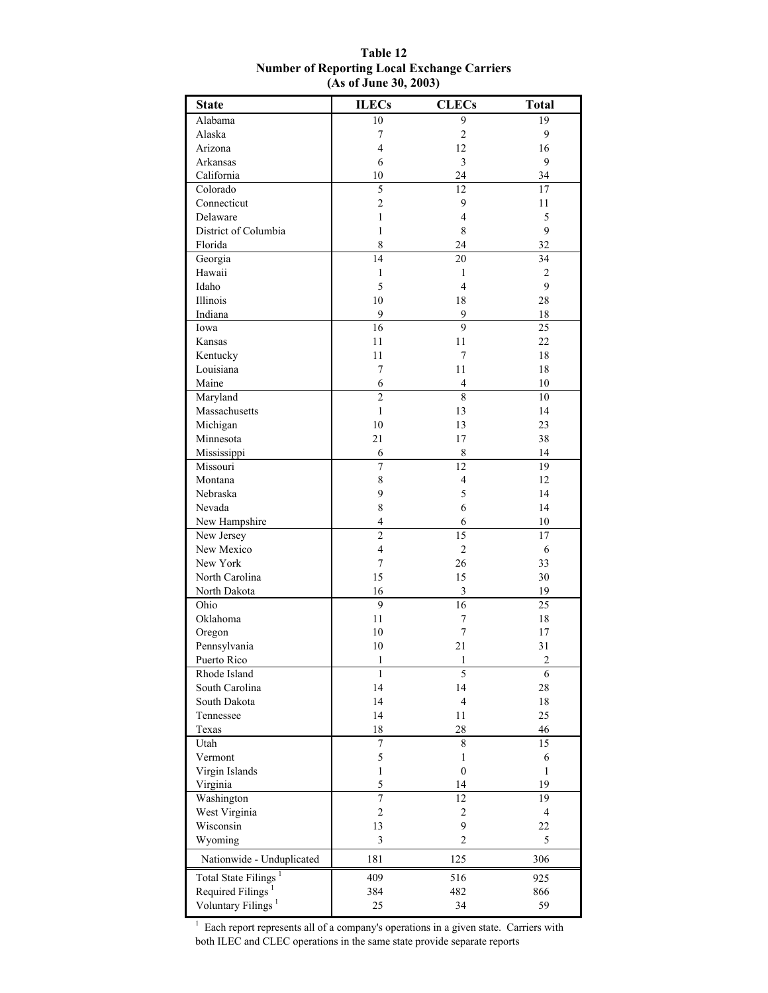| <b>State</b>                     | <b>ILECs</b>     | <b>CLECs</b>     | <b>Total</b>   |
|----------------------------------|------------------|------------------|----------------|
| Alabama                          | 10               | 9                | 19             |
| Alaska                           | 7                | $\overline{c}$   | 9              |
| Arizona                          | $\overline{4}$   | 12               | 16             |
| Arkansas                         | 6                | $\mathfrak{Z}$   | 9              |
| California                       | 10               | 24               | 34             |
| Colorado                         | 5                | 12               | 17             |
| Connecticut                      | $\overline{2}$   | 9                | 11             |
| Delaware                         | $\mathbf{1}$     | $\overline{4}$   | 5              |
| District of Columbia             | 1                | 8                | 9              |
| Florida                          | 8                | 24               | 32             |
| Georgia                          | 14               | 20               | 34             |
| Hawaii                           | 1                | 1                | 2              |
| Idaho                            | 5                | 4                | 9              |
| Illinois                         | 10               | 18               | 28             |
| Indiana                          | 9                | 9                | 18             |
| Iowa                             | 16               | 9                | 25             |
| Kansas                           | 11               | 11               | 22             |
| Kentucky                         | 11               | 7                | 18             |
| Louisiana                        | $\overline{7}$   | 11               | 18             |
| Maine                            | 6                | 4                | 10             |
| Maryland                         | $\overline{2}$   | $\overline{8}$   | 10             |
| Massachusetts                    | $\mathbf{1}$     | 13               | 14             |
| Michigan                         | 10               | 13               | 23             |
| Minnesota                        | 21               | 17               | 38             |
| Mississippi                      | 6                | 8                | 14             |
| Missouri                         | 7                | 12               | 19             |
| Montana                          | 8                | $\overline{4}$   | 12             |
| Nebraska                         | 9                | 5                | 14             |
| Nevada                           | 8<br>4           | 6                | 14             |
| New Hampshire                    | $\overline{c}$   | 6<br>15          | 10<br>17       |
| New Jersey<br>New Mexico         | $\overline{4}$   | $\overline{2}$   | 6              |
| New York                         | $\boldsymbol{7}$ | 26               | 33             |
| North Carolina                   | 15               | 15               | 30             |
| North Dakota                     | 16               | $\mathfrak{Z}$   | 19             |
| Ohio                             | 9                | 16               | 25             |
| Oklahoma                         | 11               | 7                | 18             |
| Oregon                           | 10               | $\tau$           | 17             |
| Pennsylvania                     | 10               | 21               | 31             |
| Puerto Rico                      | $\mathbf{1}$     | 1                | $\overline{2}$ |
| Rhode Island                     | 1                | 5                | 6              |
| South Carolina                   | 14               | 14               | 28             |
| South Dakota                     | 14               | $\overline{4}$   | 18             |
| Tennessee                        | 14               | 11               | 25             |
| Texas                            | 18               | 28               | 46             |
| Utah                             | 7                | 8                | 15             |
| Vermont                          | 5                | $\mathbf{1}$     | 6              |
| Virgin Islands                   | $\mathbf{1}$     | $\boldsymbol{0}$ | $\mathbf{1}$   |
| Virginia                         | 5                | 14               | 19             |
| Washington                       | $\overline{7}$   | 12               | 19             |
| West Virginia                    | $\overline{c}$   | $\boldsymbol{2}$ | $\overline{4}$ |
| Wisconsin                        | 13               | 9                | 22             |
| Wyoming                          | 3                | $\overline{c}$   | 5              |
| Nationwide - Unduplicated        | 181              | 125              | 306            |
| Total State Filings <sup>1</sup> | 409              | 516              | 925            |
| Required Filings <sup>1</sup>    | 384              | 482              | 866            |
| Voluntary Filings <sup>1</sup>   | 25               | 34               | 59             |

#### **Table 12 Number of Reporting Local Exchange Carriers (As of June 30, 2003)**

 $<sup>1</sup>$  Each report represents all of a company's operations in a given state. Carriers with</sup> both ILEC and CLEC operations in the same state provide separate reports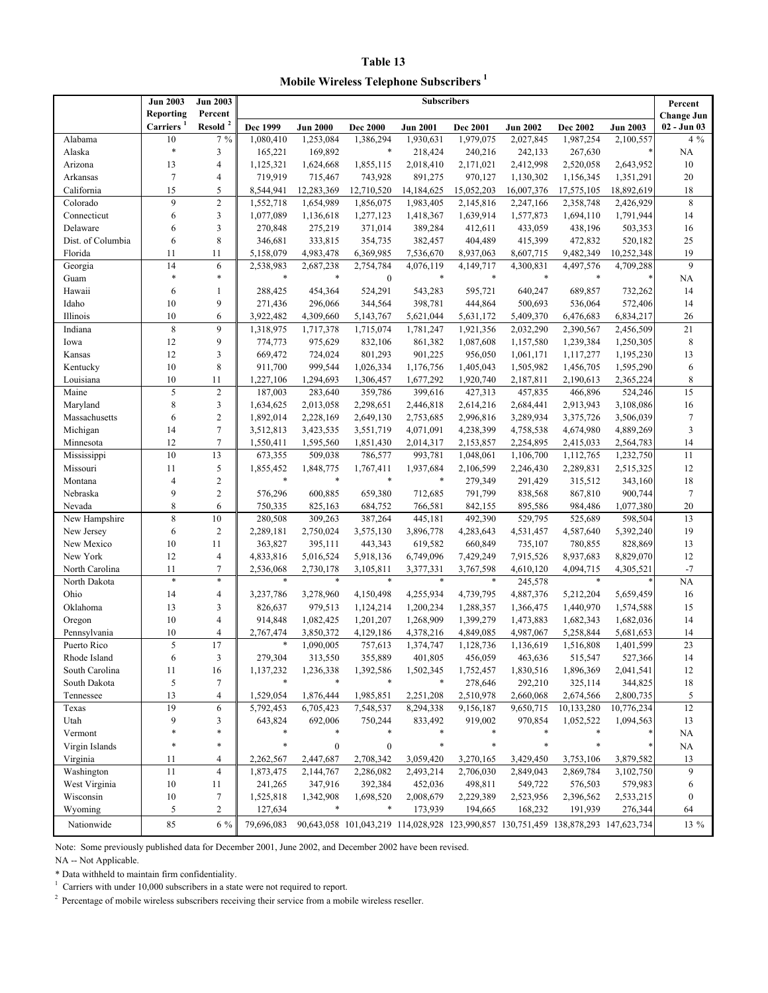**Table 13 Mobile Wireless Telephone Subscribers<sup>1</sup>**

|                                | <b>Jun 2003</b><br>Reporting | <b>Jun 2003</b><br>Percent | <b>Subscribers</b>     |                        |                                                                                    |                     |                     | Percent              |                        |                 |                                  |
|--------------------------------|------------------------------|----------------------------|------------------------|------------------------|------------------------------------------------------------------------------------|---------------------|---------------------|----------------------|------------------------|-----------------|----------------------------------|
|                                | <b>Carriers</b>              | Resold <sup>2</sup>        | Dec 1999               | <b>Jun 2000</b>        | <b>Dec 2000</b>                                                                    | <b>Jun 2001</b>     | Dec 2001            | <b>Jun 2002</b>      | <b>Dec 2002</b>        | <b>Jun 2003</b> | <b>Change Jun</b><br>02 - Jun 03 |
| Alabama                        | 10                           | $7\%$                      | $\overline{1,080,410}$ | 1,253,084              | 1,386,294                                                                          | 1,930,631           | 1,979,075           | 2,027,845            | 1,987,254              | 2,100,557       | $4\%$                            |
| Alaska                         | $\ast$                       | 3                          | 165,221                | 169,892                | $\ast$                                                                             | 218,424             | 240,216             | 242,133              | 267,630                |                 | <b>NA</b>                        |
| Arizona                        | 13                           | $\overline{4}$             | 1,125,321              | 1,624,668              | 1,855,115                                                                          | 2,018,410           | 2,171,021           | 2,412,998            | 2,520,058              | 2,643,952       | 10                               |
| Arkansas                       | $\tau$                       | $\overline{4}$             | 719,919                | 715,467                | 743,928                                                                            | 891,275             | 970,127             | 1,130,302            | 1,156,345              | 1,351,291       | 20                               |
| California                     | 15                           | 5                          | 8,544,941              | 12,283,369             | 12,710,520                                                                         | 14,184,625          | 15,052,203          | 16,007,376           | 17,575,105             | 18,892,619      | 18                               |
| Colorado                       | 9                            | $\overline{2}$             | 1,552,718              | 1,654,989              | 1,856,075                                                                          | 1,983,405           | 2,145,816           | 2,247,166            | 2,358,748              | 2,426,929       | 8                                |
| Connecticut                    | 6                            | 3                          | 1,077,089              | 1,136,618              | 1,277,123                                                                          | 1,418,367           | 1,639,914           | 1,577,873            | 1,694,110              | 1,791,944       | 14                               |
| Delaware                       | 6                            | 3                          | 270,848                | 275,219                | 371,014                                                                            | 389,284             | 412,611             | 433,059              | 438,196                | 503,353         | 16                               |
| Dist. of Columbia              | 6                            | 8                          | 346,681                | 333,815                | 354,735                                                                            | 382,457             | 404,489             | 415,399              | 472,832                | 520,182         | 25                               |
| Florida                        | 11                           | 11                         | 5,158,079              | 4,983,478              | 6,369,985                                                                          | 7,536,670           | 8,937,063           | 8,607,715            | 9,482,349              | 10,252,348      | 19                               |
| Georgia                        | 14                           | 6                          | 2,538,983              | 2,687,238              | 2,754,784                                                                          | 4,076,119           | 4,149,717           | 4,300,831            | 4,497,576              | 4,709,288       | 9                                |
| Guam                           | $\ast$                       | $\ast$                     | $\ast$                 | $\ast$                 | $\boldsymbol{0}$                                                                   | $\ast$              | $\ast$              | $\ast$               | $\ast$                 | $\ast$          | NA                               |
| Hawaii                         | 6                            | $\mathbf{1}$               | 288,425                | 454,364                | 524,291                                                                            | 543,283             | 595,721             | 640,247              | 689,857                | 732,262         | 14                               |
| Idaho                          | 10                           | 9                          | 271,436                | 296,066                | 344,564                                                                            | 398,781             | 444,864             | 500,693              | 536,064                | 572,406         | 14                               |
| Illinois                       | 10                           | 6                          | 3,922,482              | 4,309,660              | 5,143,767                                                                          | 5,621,044           | 5,631,172           | 5,409,370            | 6,476,683              | 6,834,217       | 26                               |
| Indiana                        | 8                            | 9                          | 1,318,975              | 1,717,378              | 1,715,074                                                                          | 1,781,247           | 1,921,356           | 2,032,290            | 2,390,567              | 2,456,509       | 21                               |
| Iowa                           | 12                           | 9                          | 774,773                | 975,629                | 832,106                                                                            | 861,382             | 1,087,608           | 1,157,580            | 1,239,384              | 1,250,305       | $\,$ 8 $\,$                      |
| Kansas                         | 12                           | 3                          | 669,472                | 724,024                | 801,293                                                                            | 901,225             | 956,050             | 1,061,171            | 1,117,277              | 1,195,230       | 13                               |
| Kentucky                       | 10                           | 8                          | 911,700                | 999,544                | 1,026,334                                                                          | 1,176,756           | 1,405,043           | 1,505,982            | 1,456,705              | 1,595,290       | 6                                |
| Louisiana                      | 10                           | 11                         | 1,227,106              | 1,294,693              | 1,306,457                                                                          | 1,677,292           | 1,920,740           | 2,187,811            | 2,190,613              | 2,365,224       | $\,$ 8 $\,$                      |
| Maine                          | 5                            | $\overline{2}$             | 187,003                | 283,640                | 359,786                                                                            | 399,616             | 427,313             | 457,835              | 466,896                | 524,246         | 15                               |
| Maryland                       | 8                            | 3                          | 1,634,625              | 2,013,058              | 2,298,651                                                                          | 2,446,818           | 2,614,216           | 2,684,441            | 2,913,943              | 3,108,086       | 16                               |
| Massachusetts                  | 6                            | $\overline{2}$             | 1,892,014              | 2,228,169              | 2,649,130                                                                          | 2,753,685           | 2,996,816           | 3,289,934            | 3,375,726              | 3,506,039       | $\tau$                           |
| Michigan                       | 14                           | $\tau$                     | 3,512,813              | 3,423,535              | 3,551,719                                                                          | 4,071,091           | 4,238,399           | 4,758,538            | 4,674,980              | 4,889,269       | $\mathfrak{Z}$                   |
| Minnesota                      | 12                           | $\overline{7}$             | 1,550,411              | 1,595,560              | 1,851,430                                                                          | 2,014,317           | 2,153,857           | 2,254,895            | 2,415,033              | 2,564,783       | 14                               |
| Mississippi                    | 10                           | 13                         | 673,355                | 509,038                | 786,577                                                                            | 993,781             | 1,048,061           | 1,106,700            | 1,112,765              | 1,232,750       | 11                               |
| Missouri                       | 11                           | 5                          | 1,855,452<br>$\ast$    | 1,848,775<br>$\ast$    | 1,767,411<br>$\ast$                                                                | 1,937,684<br>$\ast$ | 2,106,599           | 2,246,430            | 2,289,831              | 2,515,325       | 12                               |
| Montana                        | $\overline{4}$               | $\overline{2}$             |                        |                        |                                                                                    |                     | 279,349             | 291,429              | 315,512                | 343,160         | 18                               |
| Nebraska                       | 9                            | $\overline{2}$             | 576,296                | 600,885                | 659,380                                                                            | 712,685             | 791,799             | 838,568              | 867,810                | 900,744         | $\tau$                           |
| Nevada                         | 8                            | 6                          | 750,335                | 825,163                | 684,752                                                                            | 766,581             | 842,155             | 895,586              | 984,486                | 1,077,380       | 20                               |
| New Hampshire                  | 8                            | 10                         | 280,508                | 309,263                | 387,264                                                                            | 445,181             | 492,390             | 529,795              | 525,689                | 598,504         | 13                               |
| New Jersey                     | 6                            | $\overline{2}$             | 2,289,181              | 2,750,024              | 3,575,130                                                                          | 3,896,778           | 4,283,643           | 4,531,457            | 4,587,640              | 5,392,240       | 19                               |
| New Mexico                     | 10                           | 11                         | 363,827                | 395,111                | 443,343                                                                            | 619,582             | 660,849             | 735,107              | 780,855                | 828,869         | 13                               |
| New York                       | 12                           | $\overline{4}$             | 4,833,816              | 5,016,524              | 5,918,136                                                                          | 6,749,096           | 7,429,249           | 7,915,526            | 8,937,683              | 8,829,070       | 12<br>$-7$                       |
| North Carolina<br>North Dakota | 11<br>$\ast$                 | $\tau$<br>$\ast$           | 2,536,068              | 2,730,178              | 3,105,811<br>$\ast$                                                                | 3,377,331<br>$\ast$ | 3,767,598<br>$\ast$ | 4,610,120<br>245,578 | 4,094,715<br>$\ast$    | 4,305,521       | <b>NA</b>                        |
| Ohio                           | 14                           | 4                          | 3,237,786              | 3,278,960              | 4,150,498                                                                          | 4,255,934           | 4,739,795           | 4,887,376            | 5,212,204              | 5,659,459       | 16                               |
| Oklahoma                       | 13                           | 3                          | 826,637                | 979,513                |                                                                                    | 1,200,234           | 1,288,357           | 1,366,475            | 1,440,970              | 1,574,588       | 15                               |
|                                | 10                           | $\overline{4}$             | 914,848                |                        | 1,124,214                                                                          | 1,268,909           | 1,399,279           | 1,473,883            |                        | 1,682,036       | 14                               |
| Oregon<br>Pennsylvania         | 10                           | 4                          |                        | 1,082,425<br>3,850,372 | 1,201,207<br>4,129,186                                                             | 4,378,216           | 4,849,085           | 4,987,067            | 1,682,343<br>5,258,844 | 5,681,653       | 14                               |
| Puerto Rico                    | 5                            | 17                         | 2,767,474<br>$\ast$    | 1,090,005              | 757,613                                                                            | 1,374,747           | 1,128,736           | 1,136,619            | 1,516,808              | 1,401,599       | 23                               |
| Rhode Island                   | 6                            | 3                          | 279,304                | 313,550                | 355,889                                                                            | 401,805             | 456,059             | 463,636              | 515,547                | 527,366         | 14                               |
| South Carolina                 | 11                           | 16                         | 1,137,232              | 1,236,338              | 1,392,586                                                                          | 1,502,345           | 1,752,457           | 1,830,516            | 1,896,369              | 2,041,541       | 12                               |
| South Dakota                   | 5                            | $\tau$                     | $\ast$                 | $\ast$                 | $\ast$                                                                             | $\ast$              | 278,646             | 292,210              | 325,114                | 344,825         | 18                               |
| Tennessee                      | 13                           | $\overline{4}$             | 1,529,054              | 1,876,444              | 1,985,851                                                                          | 2,251,208           | 2,510,978           | 2,660,068            | 2,674,566              | 2,800,735       | 5                                |
| Texas                          | 19                           | 6                          | 5,792,453              | 6,705,423              | 7,548,537                                                                          | 8,294,338           | 9,156,187           | 9,650,715            | 10,133,280             | 10,776,234      | 12                               |
| Utah                           | 9                            | 3                          | 643,824                | 692,006                | 750,244                                                                            | 833,492             | 919,002             | 970,854              | 1,052,522              | 1,094,563       | 13                               |
| Vermont                        | $\ast$                       | *                          | $\ast$                 | $\ast$                 | $\ast$                                                                             | *                   |                     |                      |                        |                 | NA                               |
| Virgin Islands                 | $\ast$                       | *                          | $\ast$                 | $\boldsymbol{0}$       | $\boldsymbol{0}$                                                                   | $\ast$              | $\ast$              | $\ast$               | $\ast$                 |                 | NA                               |
| Virginia                       | 11                           | 4                          | 2,262,567              | 2,447,687              | 2,708,342                                                                          | 3,059,420           | 3,270,165           | 3,429,450            | 3,753,106              | 3,879,582       | 13                               |
| Washington                     | 11                           | $\overline{4}$             | 1,873,475              | 2,144,767              | 2,286,082                                                                          | 2,493,214           | 2,706,030           | 2,849,043            | 2,869,784              | 3,102,750       | 9                                |
| West Virginia                  | 10                           | 11                         | 241,265                | 347,916                | 392,384                                                                            | 452,036             | 498,811             | 549,722              | 576,503                | 579,983         | 6                                |
| Wisconsin                      | 10                           | $\boldsymbol{7}$           | 1,525,818              | 1,342,908              | 1,698,520                                                                          | 2,008,679           | 2,229,389           | 2,523,956            | 2,396,562              | 2,533,215       | $\boldsymbol{0}$                 |
| Wyoming                        | 5                            | $\overline{c}$             | 127,634                | $\ast$                 | $\ast$                                                                             | 173,939             | 194,665             | 168,232              | 191,939                | 276,344         | 64                               |
|                                |                              |                            |                        |                        |                                                                                    |                     |                     |                      |                        |                 |                                  |
| Nationwide                     | 85                           | $6\%$                      | 79,696,083             |                        | 90,643,058 101,043,219 114,028,928 123,990,857 130,751,459 138,878,293 147,623,734 |                     |                     |                      |                        |                 | $13\%$                           |

Note: Some previously published data for December 2001, June 2002, and December 2002 have been revised.

NA -- Not Applicable.

\* Data withheld to maintain firm confidentiality.

 $1$  Carriers with under 10,000 subscribers in a state were not required to report.

<sup>2</sup> Percentage of mobile wireless subscribers receiving their service from a mobile wireless reseller.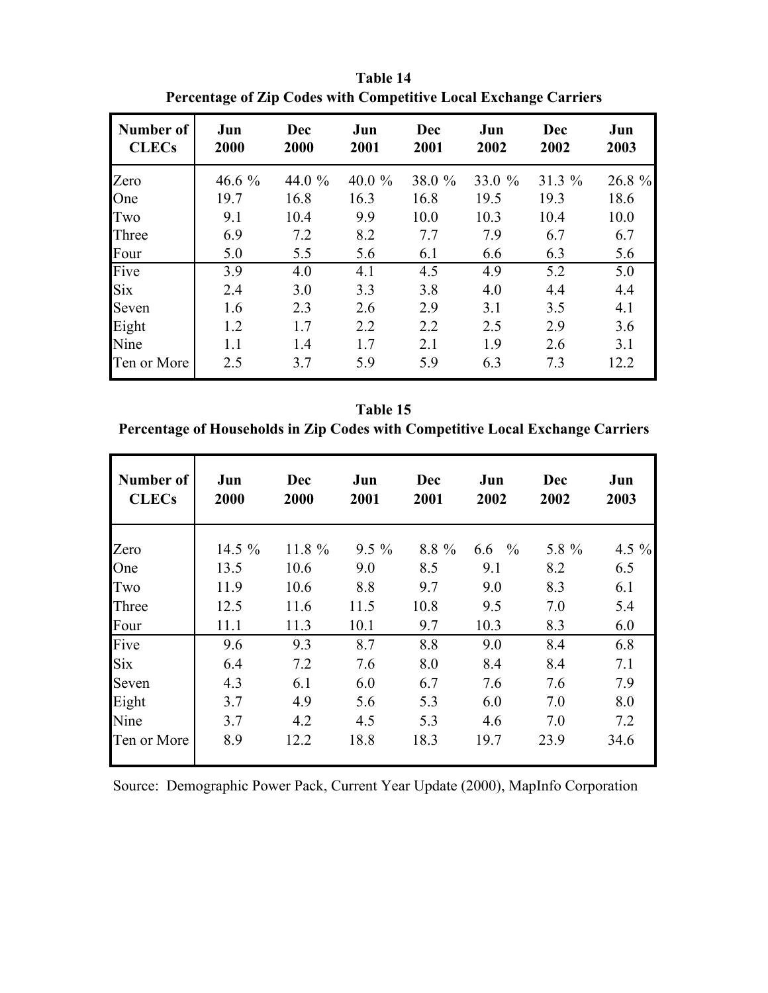| Number of<br><b>CLECs</b> | Jun<br>2000 | Dec<br>2000 | Jun<br>2001 | Dec<br>2001 | Jun<br>2002 | Dec<br>2002 | Jun<br>2003 |
|---------------------------|-------------|-------------|-------------|-------------|-------------|-------------|-------------|
| Zero                      | 46.6 $%$    | 44.0 %      | 40.0 $%$    | 38.0 %      | 33.0 $%$    | 31.3%       | 26.8 %      |
| One                       | 19.7        | 16.8        | 16.3        | 16.8        | 19.5        | 19.3        | 18.6        |
| Two                       | 9.1         | 10.4        | 9.9         | 10.0        | 10.3        | 10.4        | 10.0        |
| Three                     | 6.9         | 7.2         | 8.2         | 7.7         | 7.9         | 6.7         | 6.7         |
| Four                      | 5.0         | 5.5         | 5.6         | 6.1         | 6.6         | 6.3         | 5.6         |
| Five                      | 3.9         | 4.0         | 4.1         | 4.5         | 4.9         | 5.2         | 5.0         |
| <b>Six</b>                | 2.4         | 3.0         | 3.3         | 3.8         | 4.0         | 4.4         | 4.4         |
| Seven                     | 1.6         | 2.3         | 2.6         | 2.9         | 3.1         | 3.5         | 4.1         |
| Eight                     | 1.2         | 1.7         | 2.2         | 2.2         | 2.5         | 2.9         | 3.6         |
| Nine                      | 1.1         | 1.4         | 1.7         | 2.1         | 1.9         | 2.6         | 3.1         |
| Ten or More               | 2.5         | 3.7         | 5.9         | 5.9         | 6.3         | 7.3         | 12.2        |

**Table 14 Percentage of Zip Codes with Competitive Local Exchange Carriers**

**Table 15 Percentage of Households in Zip Codes with Competitive Local Exchange Carriers**

| Number of<br><b>CLECs</b> | Jun<br>2000 | <b>Dec</b><br>2000 | Jun<br>2001 | <b>Dec</b><br>2001 | Jun<br>2002          | Dec<br>2002 | Jun<br>2003 |
|---------------------------|-------------|--------------------|-------------|--------------------|----------------------|-------------|-------------|
| Zero                      | 14.5 %      | 11.8 %             | $9.5\%$     | 8.8 %              | 6.6<br>$\frac{0}{0}$ | 5.8 %       | 4.5 $%$     |
| One                       | 13.5        | 10.6               | 9.0         | 8.5                | 9.1                  | 8.2         | 6.5         |
| Two                       | 11.9        | 10.6               | 8.8         | 9.7                | 9.0                  | 8.3         | 6.1         |
| Three                     | 12.5        | 11.6               | 11.5        | 10.8               | 9.5                  | 7.0         | 5.4         |
| Four                      | 11.1        | 11.3               | 10.1        | 9.7                | 10.3                 | 8.3         | 6.0         |
| Five                      | 9.6         | 9.3                | 8.7         | 8.8                | 9.0                  | 8.4         | 6.8         |
| <b>Six</b>                | 6.4         | 7.2                | 7.6         | 8.0                | 8.4                  | 8.4         | 7.1         |
| Seven                     | 4.3         | 6.1                | 6.0         | 6.7                | 7.6                  | 7.6         | 7.9         |
| Eight                     | 3.7         | 4.9                | 5.6         | 5.3                | 6.0                  | 7.0         | 8.0         |
| Nine                      | 3.7         | 4.2                | 4.5         | 5.3                | 4.6                  | 7.0         | 7.2         |
| Ten or More               | 8.9         | 12.2               | 18.8        | 18.3               | 19.7                 | 23.9        | 34.6        |

Source: Demographic Power Pack, Current Year Update (2000), MapInfo Corporation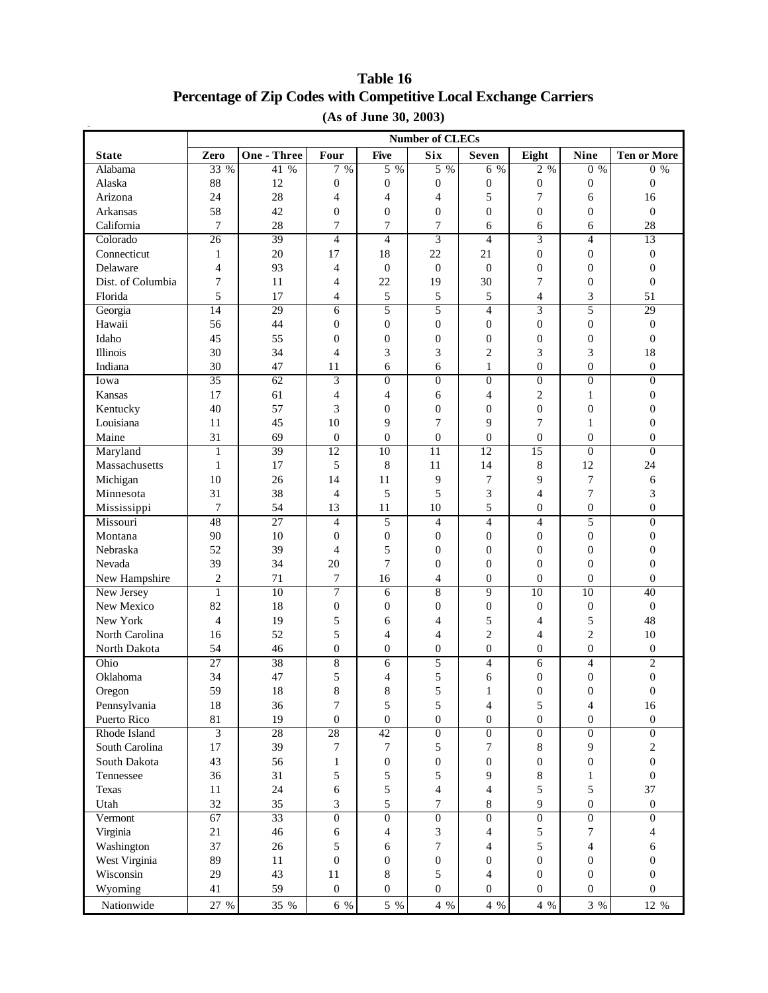## **Percentage of Zip Codes with Competitive Local Exchange Carriers (As of June 30, 2003) Table 16**

|                   | $(110 \text{ or } 0110 \text{ or } 00, 2000)$<br><b>Number of CLECs</b> |                    |                  |                  |                  |                  |                  |                  |                    |
|-------------------|-------------------------------------------------------------------------|--------------------|------------------|------------------|------------------|------------------|------------------|------------------|--------------------|
|                   |                                                                         |                    |                  |                  |                  |                  |                  |                  |                    |
| <b>State</b>      | Zero                                                                    | <b>One - Three</b> | Four             | <b>Five</b>      | <b>Six</b>       | <b>Seven</b>     | Eight            | <b>Nine</b>      | <b>Ten or More</b> |
| Alabama           | 33 %                                                                    | 41 %               | 7%               | $5\%$            | $5\%$            | 6 %              | $2\%$            | $0\%$            | $0\%$              |
| Alaska            | 88                                                                      | 12                 | 0                | $\mathbf{0}$     | $\boldsymbol{0}$ | $\boldsymbol{0}$ | $\boldsymbol{0}$ | $\boldsymbol{0}$ | $\boldsymbol{0}$   |
| Arizona           | 24                                                                      | 28                 | 4                | $\overline{4}$   | 4                | 5                | $\overline{7}$   | 6                | 16                 |
| Arkansas          | 58                                                                      | 42                 | 0                | $\boldsymbol{0}$ | $\boldsymbol{0}$ | $\boldsymbol{0}$ | $\boldsymbol{0}$ | $\boldsymbol{0}$ | $\boldsymbol{0}$   |
| California        | 7                                                                       | 28                 | 7                | 7                | $\overline{7}$   | 6                | 6                | 6                | 28                 |
| Colorado          | 26                                                                      | 39                 | $\overline{4}$   | $\overline{4}$   | $\overline{3}$   | $\overline{4}$   | $\overline{3}$   | $\overline{4}$   | 13                 |
| Connecticut       | $\mathbf{1}$                                                            | 20                 | 17               | 18               | 22               | 21               | $\overline{0}$   | $\mathbf{0}$     | $\mathbf{0}$       |
| Delaware          | $\overline{4}$                                                          | 93                 | $\overline{4}$   | $\boldsymbol{0}$ | $\boldsymbol{0}$ | $\boldsymbol{0}$ | $\boldsymbol{0}$ | $\boldsymbol{0}$ | $\boldsymbol{0}$   |
| Dist. of Columbia | 7                                                                       | 11                 | 4                | 22               | 19               | 30               | 7                | $\boldsymbol{0}$ | $\boldsymbol{0}$   |
| Florida           | 5                                                                       | 17                 | 4                | 5                | 5                | 5                | 4                | 3                | 51                 |
| Georgia           | $\overline{14}$                                                         | 29                 | 6                | 5                | 5                | $\overline{4}$   | $\overline{3}$   | 5                | 29                 |
| Hawaii            | 56                                                                      | 44                 | 0                | $\boldsymbol{0}$ | $\boldsymbol{0}$ | $\boldsymbol{0}$ | $\boldsymbol{0}$ | $\boldsymbol{0}$ | $\boldsymbol{0}$   |
| Idaho             | 45                                                                      | 55                 | $\overline{0}$   | $\boldsymbol{0}$ | $\boldsymbol{0}$ | $\boldsymbol{0}$ | $\boldsymbol{0}$ | $\boldsymbol{0}$ | $\boldsymbol{0}$   |
| Illinois          | 30                                                                      | 34                 | $\overline{4}$   | 3                | 3                | $\overline{c}$   | 3                | 3                | 18                 |
| Indiana           | 30                                                                      | 47                 | 11               | 6                | 6                | $\mathbf{1}$     | $\boldsymbol{0}$ | $\mathbf{0}$     | $\boldsymbol{0}$   |
| Iowa              | 35                                                                      | 62                 | $\overline{3}$   | $\overline{0}$   | $\overline{0}$   | $\boldsymbol{0}$ | $\boldsymbol{0}$ | $\mathbf{0}$     | $\overline{0}$     |
| Kansas            | 17                                                                      | 61                 | $\overline{4}$   | $\overline{4}$   | 6                | 4                | $\mathbf{2}$     | $\mathbf{1}$     | $\boldsymbol{0}$   |
| Kentucky          | 40                                                                      | 57                 | 3                | $\boldsymbol{0}$ | $\boldsymbol{0}$ | $\boldsymbol{0}$ | $\mathbf{0}$     | $\mathbf{0}$     | $\overline{0}$     |
| Louisiana         | 11                                                                      | 45                 | 10               | 9                | 7                | 9                | $\overline{7}$   | 1                | $\overline{0}$     |
| Maine             | 31                                                                      | 69                 | $\boldsymbol{0}$ | $\overline{0}$   | $\boldsymbol{0}$ | $\boldsymbol{0}$ | $\boldsymbol{0}$ | $\mathbf{0}$     | $\boldsymbol{0}$   |
| Maryland          | $\mathbf{1}$                                                            | 39                 | 12               | 10               | $\overline{11}$  | 12               | 15               | $\boldsymbol{0}$ | $\overline{0}$     |
| Massachusetts     | $\mathbf{1}$                                                            | 17                 | 5                | 8                | 11               | 14               | 8                | 12               | 24                 |
| Michigan          | 10                                                                      | 26                 | 14               | 11               | 9                | $\boldsymbol{7}$ | 9                | $\overline{7}$   | 6                  |
| Minnesota         | 31                                                                      | 38                 | $\overline{4}$   | 5                | 5                | 3                | $\overline{4}$   | 7                | 3                  |
| Mississippi       | $\overline{7}$                                                          | 54                 | 13               | 11               | 10               | 5                | $\boldsymbol{0}$ | $\boldsymbol{0}$ | $\boldsymbol{0}$   |
| Missouri          | 48                                                                      | $\overline{27}$    | $\overline{4}$   | 5                | $\overline{4}$   | $\overline{4}$   | $\overline{4}$   | 5                | $\overline{0}$     |
| Montana           | 90                                                                      | 10                 | $\mathbf{0}$     | $\boldsymbol{0}$ | $\theta$         | $\boldsymbol{0}$ | $\overline{0}$   | $\mathbf{0}$     | $\overline{0}$     |
| Nebraska          | 52                                                                      | 39                 | $\overline{4}$   | 5                | $\boldsymbol{0}$ | $\boldsymbol{0}$ | $\boldsymbol{0}$ | $\boldsymbol{0}$ | $\boldsymbol{0}$   |
| Nevada            | 39                                                                      | 34                 | 20               | $\overline{7}$   | $\boldsymbol{0}$ | $\boldsymbol{0}$ | $\overline{0}$   | $\mathbf{0}$     | $\boldsymbol{0}$   |
| New Hampshire     | $\sqrt{2}$                                                              | 71                 | 7                | 16               | $\overline{4}$   | $\boldsymbol{0}$ | $\boldsymbol{0}$ | $\mathbf{0}$     | $\boldsymbol{0}$   |
| New Jersey        | $\mathbf{1}$                                                            | 10                 | 7                | 6                | $\overline{8}$   | 9                | $\overline{10}$  | $\overline{10}$  | 40                 |
| New Mexico        | 82                                                                      | 18                 | $\boldsymbol{0}$ | $\boldsymbol{0}$ | $\boldsymbol{0}$ | $\boldsymbol{0}$ | $\boldsymbol{0}$ | $\boldsymbol{0}$ | $\boldsymbol{0}$   |
| New York          | $\overline{4}$                                                          | 19                 | 5                | 6                | 4                | 5                | 4                | 5                | 48                 |
| North Carolina    | 16                                                                      | 52                 | 5                | $\overline{4}$   | 4                | $\overline{c}$   | 4                | $\overline{c}$   | 10                 |
| North Dakota      | 54                                                                      | 46                 | $\overline{0}$   | $\overline{0}$   | $\boldsymbol{0}$ | $\boldsymbol{0}$ | $\mathbf{0}$     | $\boldsymbol{0}$ | $\boldsymbol{0}$   |
| Ohio              | $\overline{27}$                                                         | 38                 | $\overline{8}$   | 6                | 5                | 4                | 6                | $\overline{4}$   | $\overline{2}$     |
| Oklahoma          | 34                                                                      | 47                 | 5                | $\overline{4}$   | 5                | 6                | $\overline{0}$   | $\overline{0}$   | $\mathbf{0}$       |
| Oregon            | 59                                                                      | 18                 | 8                | 8                | 5                | $\mathbf{1}$     | $\boldsymbol{0}$ | $\boldsymbol{0}$ | 0                  |
| Pennsylvania      | 18                                                                      | 36                 | 7                | 5                | 5                | 4                | 5                | $\overline{4}$   | 16                 |
| Puerto Rico       | 81                                                                      | 19                 | $\boldsymbol{0}$ | $\boldsymbol{0}$ | $\boldsymbol{0}$ | $\boldsymbol{0}$ | $\boldsymbol{0}$ | $\boldsymbol{0}$ | $\boldsymbol{0}$   |
| Rhode Island      | 3                                                                       | 28                 | 28               | 42               | $\overline{0}$   | $\overline{0}$   | $\overline{0}$   | $\overline{0}$   | $\overline{0}$     |
| South Carolina    | 17                                                                      | 39                 | 7                | $\tau$           | 5                | 7                | 8                | 9                | 2                  |
| South Dakota      | 43                                                                      | 56                 | $\mathbf{1}$     | $\boldsymbol{0}$ | $\boldsymbol{0}$ | $\boldsymbol{0}$ | $\mathbf{0}$     | $\boldsymbol{0}$ | $\overline{0}$     |
| Tennessee         | 36                                                                      | 31                 | 5                | 5                | 5                | 9                | 8                | $\mathbf{1}$     | $\mathbf{0}$       |
| Texas             | 11                                                                      | 24                 | 6                | 5                | $\overline{4}$   | 4                | 5                | 5                | 37                 |
| Utah              | 32                                                                      | 35                 | 3                | 5                | $\boldsymbol{7}$ | 8                | 9                | $\mathbf{0}$     | $\boldsymbol{0}$   |
| Vermont           | 67                                                                      | 33                 | $\overline{0}$   | $\overline{0}$   | $\overline{0}$   | $\boldsymbol{0}$ | $\boldsymbol{0}$ | $\overline{0}$   | $\overline{0}$     |
| Virginia          | 21                                                                      | 46                 | 6                | $\overline{4}$   | 3                | 4                | 5                | 7                | 4                  |
| Washington        | 37                                                                      | 26                 | 5                | 6                | $\boldsymbol{7}$ | 4                | 5                | $\overline{4}$   | 6                  |
| West Virginia     | 89                                                                      | 11                 | $\overline{0}$   | $\boldsymbol{0}$ | $\boldsymbol{0}$ | $\boldsymbol{0}$ | $\mathbf{0}$     | $\mathbf{0}$     | 0                  |
| Wisconsin         | 29                                                                      | 43                 | 11               | $\,8$            | 5                | 4                | $\mathbf{0}$     | $\mathbf{0}$     | $\overline{0}$     |
| Wyoming           | 41                                                                      | 59                 | $\mathbf{0}$     | $\boldsymbol{0}$ | $\boldsymbol{0}$ | $\boldsymbol{0}$ | $\boldsymbol{0}$ | $\mathbf{0}$     | $\overline{0}$     |
| Nationwide        | 27 %                                                                    |                    |                  |                  | $4 \ \%$         |                  |                  | $3 \%$           |                    |
|                   |                                                                         | 35 %               | $6\,$ %          | 5 %              |                  | $4 \ \%$         | 4 %              |                  | 12 %               |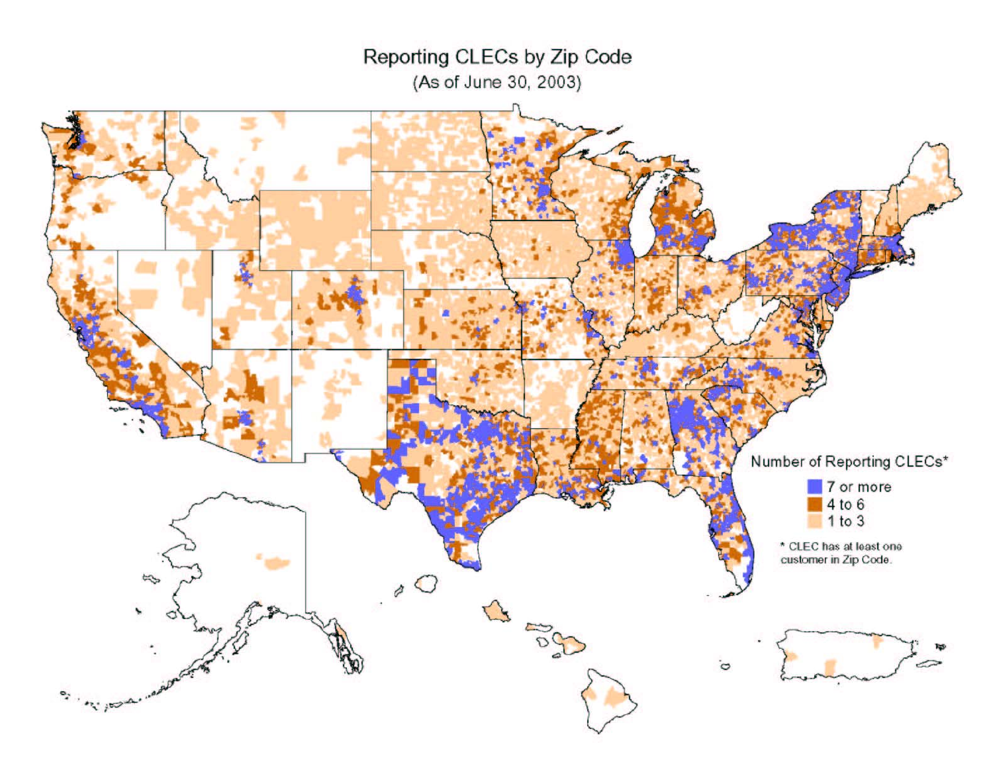